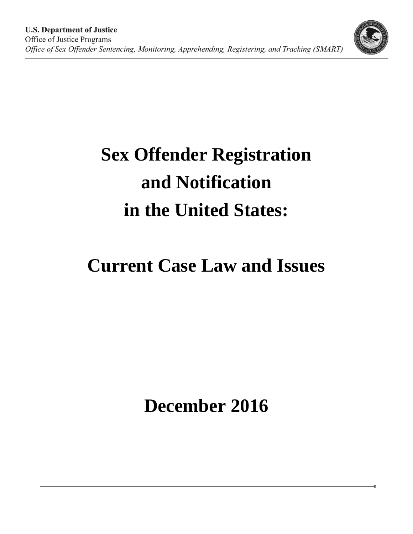

# **Current Case Law and Issues**

**December 2016**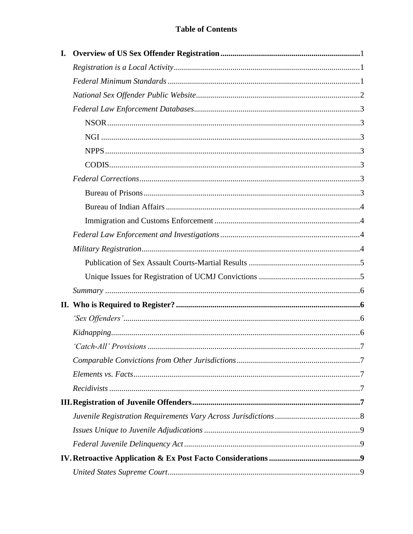# **Table of Contents**

| I. |  |
|----|--|
|    |  |
|    |  |
|    |  |
|    |  |
|    |  |
|    |  |
|    |  |
|    |  |
|    |  |
|    |  |
|    |  |
|    |  |
|    |  |
|    |  |
|    |  |
|    |  |
|    |  |
|    |  |
|    |  |
|    |  |
|    |  |
|    |  |
|    |  |
|    |  |
|    |  |
|    |  |
|    |  |
|    |  |
|    |  |
|    |  |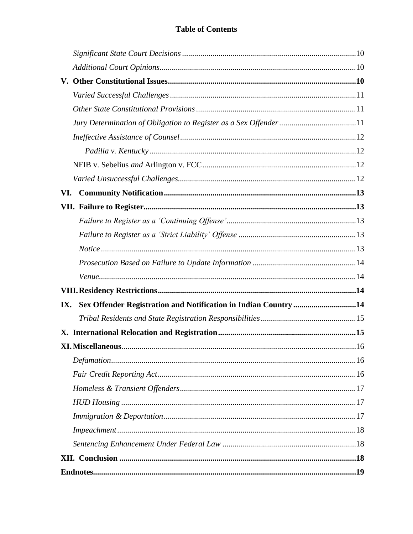| VI. |                                                                 |
|-----|-----------------------------------------------------------------|
|     |                                                                 |
|     |                                                                 |
|     |                                                                 |
|     |                                                                 |
|     |                                                                 |
|     |                                                                 |
|     |                                                                 |
| IX. | Sex Offender Registration and Notification in Indian Country 14 |
|     |                                                                 |
|     |                                                                 |
|     |                                                                 |
|     |                                                                 |
|     |                                                                 |
|     |                                                                 |
|     |                                                                 |
|     |                                                                 |
|     |                                                                 |
|     |                                                                 |
|     |                                                                 |
|     |                                                                 |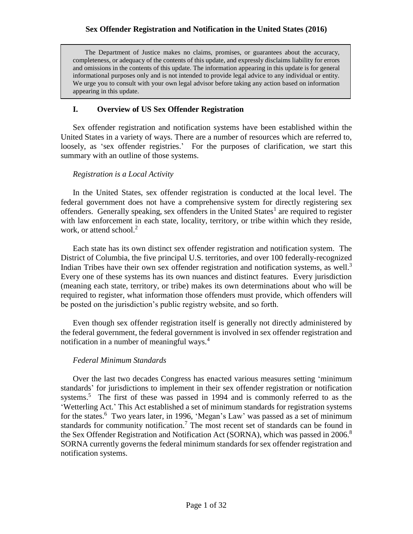The Department of Justice makes no claims, promises, or guarantees about the accuracy, completeness, or adequacy of the contents of this update, and expressly disclaims liability for errors and omissions in the contents of this update. The information appearing in this update is for general informational purposes only and is not intended to provide legal advice to any individual or entity. We urge you to consult with your own legal advisor before taking any action based on information appearing in this update.

#### **I. Overview of US Sex Offender Registration**

Sex offender registration and notification systems have been established within the United States in a variety of ways. There are a number of resources which are referred to, loosely, as 'sex offender registries.' For the purposes of clarification, we start this summary with an outline of those systems.

#### *Registration is a Local Activity*

In the United States, sex offender registration is conducted at the local level. The federal government does not have a comprehensive system for directly registering sex offenders. Generally speaking, sex offenders in the United States<sup>1</sup> are required to register with law enforcement in each state, locality, territory, or tribe within which they reside, work, or attend school.<sup>2</sup>

Each state has its own distinct sex offender registration and notification system. The District of Columbia, the five principal U.S. territories, and over 100 federally-recognized Indian Tribes have their own sex offender registration and notification systems, as well.<sup>3</sup> Every one of these systems has its own nuances and distinct features. Every jurisdiction (meaning each state, territory, or tribe) makes its own determinations about who will be required to register, what information those offenders must provide, which offenders will be posted on the jurisdiction's public registry website, and so forth.

Even though sex offender registration itself is generally not directly administered by the federal government, the federal government is involved in sex offender registration and notification in a number of meaningful ways.<sup>4</sup>

#### *Federal Minimum Standards*

Over the last two decades Congress has enacted various measures setting 'minimum standards' for jurisdictions to implement in their sex offender registration or notification systems.<sup>5</sup> The first of these was passed in 1994 and is commonly referred to as the 'Wetterling Act.' This Act established a set of minimum standards for registration systems for the states.<sup>6</sup> Two years later, in 1996, 'Megan's Law' was passed as a set of minimum standards for community notification.<sup>7</sup> The most recent set of standards can be found in the Sex Offender Registration and Notification Act (SORNA), which was passed in 2006.<sup>8</sup> SORNA currently governs the federal minimum standards for sex offender registration and notification systems.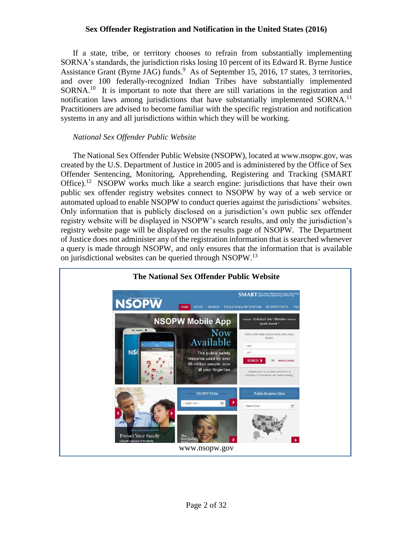If a state, tribe, or territory chooses to refrain from substantially implementing SORNA's standards, the jurisdiction risks losing 10 percent of its Edward R. Byrne Justice Assistance Grant (Byrne JAG) funds.<sup>9</sup> As of September 15, 2016, 17 states, 3 territories, and over 100 federally-recognized Indian Tribes have substantially implemented  $SORNA<sup>10</sup>$  It is important to note that there are still variations in the registration and notification laws among jurisdictions that have substantially implemented SORNA.<sup>11</sup> Practitioners are advised to become familiar with the specific registration and notification systems in any and all jurisdictions within which they will be working.

#### *National Sex Offender Public Website*

The National Sex Offender Public Website (NSOPW), located at www.nsopw.gov, was created by the U.S. Department of Justice in 2005 and is administered by the Office of Sex Offender Sentencing, Monitoring, Apprehending, Registering and Tracking (SMART Office).<sup>12</sup> NSOPW works much like a search engine: jurisdictions that have their own public sex offender registry websites connect to NSOPW by way of a web service or automated upload to enable NSOPW to conduct queries against the jurisdictions' websites. Only information that is publicly disclosed on a jurisdiction's own public sex offender registry website will be displayed in NSOPW's search results, and only the jurisdiction's registry website page will be displayed on the results page of NSOPW. The Department of Justice does not administer any of the registration information that is searched whenever a query is made through NSOPW, and only ensures that the information that is available on jurisdictional websites can be queried through NSOPW.<sup>13</sup>

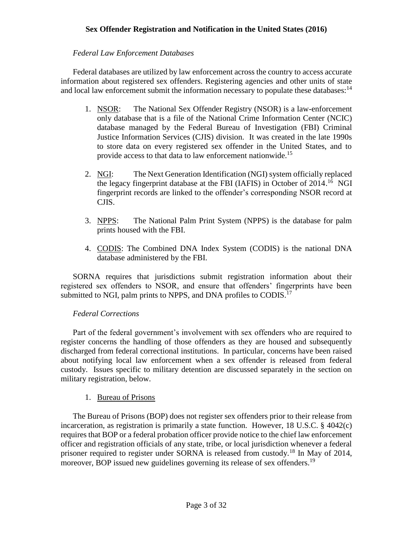# *Federal Law Enforcement Databases*

Federal databases are utilized by law enforcement across the country to access accurate information about registered sex offenders. Registering agencies and other units of state and local law enforcement submit the information necessary to populate these databases: $14$ 

- 1. NSOR: The National Sex Offender Registry (NSOR) is a law-enforcement only database that is a file of the National Crime Information Center (NCIC) database managed by the Federal Bureau of Investigation (FBI) Criminal Justice Information Services (CJIS) division. It was created in the late 1990s to store data on every registered sex offender in the United States, and to provide access to that data to law enforcement nationwide.<sup>15</sup>
- 2. NGI: The Next Generation Identification (NGI) system officially replaced the legacy fingerprint database at the FBI (IAFIS) in October of 2014.<sup>16</sup> NGI fingerprint records are linked to the offender's corresponding NSOR record at CJIS.
- 3. NPPS: The National Palm Print System (NPPS) is the database for palm prints housed with the FBI.
- 4. CODIS: The Combined DNA Index System (CODIS) is the national DNA database administered by the FBI.

SORNA requires that jurisdictions submit registration information about their registered sex offenders to NSOR, and ensure that offenders' fingerprints have been submitted to NGI, palm prints to NPPS, and DNA profiles to CODIS.<sup>17</sup>

# *Federal Corrections*

Part of the federal government's involvement with sex offenders who are required to register concerns the handling of those offenders as they are housed and subsequently discharged from federal correctional institutions. In particular, concerns have been raised about notifying local law enforcement when a sex offender is released from federal custody. Issues specific to military detention are discussed separately in the section on military registration, below.

#### 1. Bureau of Prisons

The Bureau of Prisons (BOP) does not register sex offenders prior to their release from incarceration, as registration is primarily a state function. However, 18 U.S.C. § 4042(c) requires that BOP or a federal probation officer provide notice to the chief law enforcement officer and registration officials of any state, tribe, or local jurisdiction whenever a federal prisoner required to register under SORNA is released from custody.<sup>18</sup> In May of 2014, moreover, BOP issued new guidelines governing its release of sex offenders.<sup>19</sup>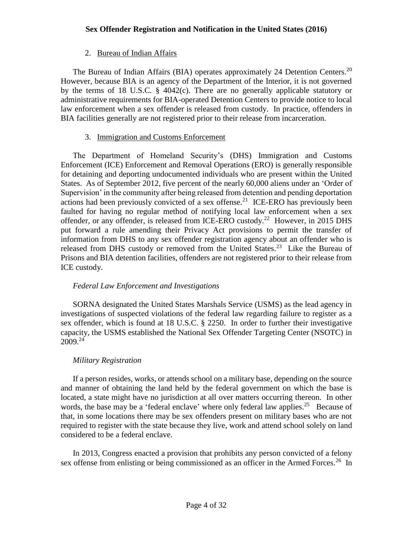#### 2. Bureau of Indian Affairs

The Bureau of Indian Affairs (BIA) operates approximately 24 Detention Centers.<sup>20</sup> However, because BIA is an agency of the Department of the Interior, it is not governed by the terms of 18 U.S.C.  $\S$  4042(c). There are no generally applicable statutory or administrative requirements for BIA-operated Detention Centers to provide notice to local law enforcement when a sex offender is released from custody. In practice, offenders in BIA facilities generally are not registered prior to their release from incarceration.

#### 3. Immigration and Customs Enforcement

The Department of Homeland Security's (DHS) Immigration and Customs Enforcement (ICE) Enforcement and Removal Operations (ERO) is generally responsible for detaining and deporting undocumented individuals who are present within the United States. As of September 2012, five percent of the nearly 60,000 aliens under an 'Order of Supervision' in the community after being released from detention and pending deportation actions had been previously convicted of a sex offense.<sup>21</sup> ICE-ERO has previously been faulted for having no regular method of notifying local law enforcement when a sex offender, or any offender, is released from ICE-ERO custody.<sup>22</sup> However, in 2015 DHS put forward a rule amending their Privacy Act provisions to permit the transfer of information from DHS to any sex offender registration agency about an offender who is released from DHS custody or removed from the United States.<sup>23</sup> Like the Bureau of Prisons and BIA detention facilities, offenders are not registered prior to their release from ICE custody.

#### *Federal Law Enforcement and Investigations*

SORNA designated the United States Marshals Service (USMS) as the lead agency in investigations of suspected violations of the federal law regarding failure to register as a sex offender, which is found at 18 U.S.C. § 2250. In order to further their investigative capacity, the USMS established the National Sex Offender Targeting Center (NSOTC) in 2009. 24

#### *Military Registration*

If a person resides, works, or attends school on a military base, depending on the source and manner of obtaining the land held by the federal government on which the base is located, a state might have no jurisdiction at all over matters occurring thereon. In other words, the base may be a 'federal enclave' where only federal law applies.<sup>25</sup> Because of that, in some locations there may be sex offenders present on military bases who are not required to register with the state because they live, work and attend school solely on land considered to be a federal enclave.

In 2013, Congress enacted a provision that prohibits any person convicted of a felony sex offense from enlisting or being commissioned as an officer in the Armed Forces.<sup>26</sup> In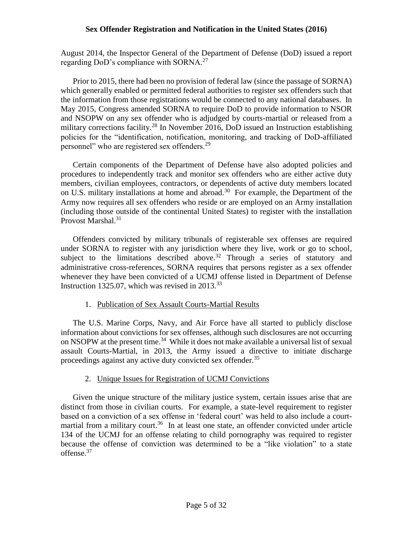August 2014, the Inspector General of the Department of Defense (DoD) issued a report regarding DoD's compliance with SORNA.<sup>27</sup>

Prior to 2015, there had been no provision of federal law (since the passage of SORNA) which generally enabled or permitted federal authorities to register sex offenders such that the information from those registrations would be connected to any national databases. In May 2015, Congress amended SORNA to require DoD to provide information to NSOR and NSOPW on any sex offender who is adjudged by courts-martial or released from a military corrections facility.<sup>28</sup> In November 2016, DoD issued an Instruction establishing policies for the "identification, notification, monitoring, and tracking of DoD-affiliated personnel" who are registered sex offenders.<sup>29</sup>

Certain components of the Department of Defense have also adopted policies and procedures to independently track and monitor sex offenders who are either active duty members, civilian employees, contractors, or dependents of active duty members located on U.S. military installations at home and abroad.<sup>30</sup> For example, the Department of the Army now requires all sex offenders who reside or are employed on an Army installation (including those outside of the continental United States) to register with the installation Provost Marshal.<sup>31</sup>

Offenders convicted by military tribunals of registerable sex offenses are required under SORNA to register with any jurisdiction where they live, work or go to school, subject to the limitations described above.<sup>32</sup> Through a series of statutory and administrative cross-references, SORNA requires that persons register as a sex offender whenever they have been convicted of a UCMJ offense listed in Department of Defense Instruction 1325.07, which was revised in  $2013^{33}$ 

# 1. Publication of Sex Assault Courts-Martial Results

The U.S. Marine Corps, Navy, and Air Force have all started to publicly disclose information about convictions for sex offenses, although such disclosures are not occurring on NSOPW at the present time.<sup>34</sup> While it does not make available a universal list of sexual assault Courts-Martial, in 2013, the Army issued a directive to initiate discharge proceedings against any active duty convicted sex offender.<sup>35</sup>

#### 2. Unique Issues for Registration of UCMJ Convictions

Given the unique structure of the military justice system, certain issues arise that are distinct from those in civilian courts. For example, a state-level requirement to register based on a conviction of a sex offense in 'federal court' was held to also include a courtmartial from a military court.<sup>36</sup> In at least one state, an offender convicted under article 134 of the UCMJ for an offense relating to child pornography was required to register because the offense of conviction was determined to be a "like violation" to a state offense.<sup>37</sup>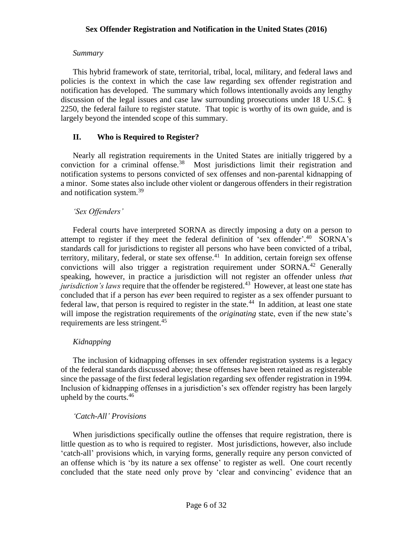#### *Summary*

This hybrid framework of state, territorial, tribal, local, military, and federal laws and policies is the context in which the case law regarding sex offender registration and notification has developed. The summary which follows intentionally avoids any lengthy discussion of the legal issues and case law surrounding prosecutions under 18 U.S.C. § 2250, the federal failure to register statute. That topic is worthy of its own guide, and is largely beyond the intended scope of this summary.

#### **II. Who is Required to Register?**

Nearly all registration requirements in the United States are initially triggered by a conviction for a criminal offense. $38$  Most jurisdictions limit their registration and notification systems to persons convicted of sex offenses and non-parental kidnapping of a minor. Some states also include other violent or dangerous offenders in their registration and notification system.<sup>39</sup>

#### *'Sex Offenders'*

Federal courts have interpreted SORNA as directly imposing a duty on a person to attempt to register if they meet the federal definition of 'sex offender'.<sup>40</sup> SORNA's standards call for jurisdictions to register all persons who have been convicted of a tribal, territory, military, federal, or state sex offense.<sup>41</sup> In addition, certain foreign sex offense convictions will also trigger a registration requirement under  $SORNA<sup>42</sup>$  Generally speaking, however, in practice a jurisdiction will not register an offender unless *that jurisdiction's laws* require that the offender be registered.<sup>43</sup> However, at least one state has concluded that if a person has *ever* been required to register as a sex offender pursuant to federal law, that person is required to register in the state.<sup>44</sup> In addition, at least one state will impose the registration requirements of the *originating* state, even if the new state's requirements are less stringent.<sup>45</sup>

# *Kidnapping*

The inclusion of kidnapping offenses in sex offender registration systems is a legacy of the federal standards discussed above; these offenses have been retained as registerable since the passage of the first federal legislation regarding sex offender registration in 1994. Inclusion of kidnapping offenses in a jurisdiction's sex offender registry has been largely upheld by the courts.  $46$ 

#### *'Catch-All' Provisions*

When jurisdictions specifically outline the offenses that require registration, there is little question as to who is required to register. Most jurisdictions, however, also include 'catch-all' provisions which, in varying forms, generally require any person convicted of an offense which is 'by its nature a sex offense' to register as well. One court recently concluded that the state need only prove by 'clear and convincing' evidence that an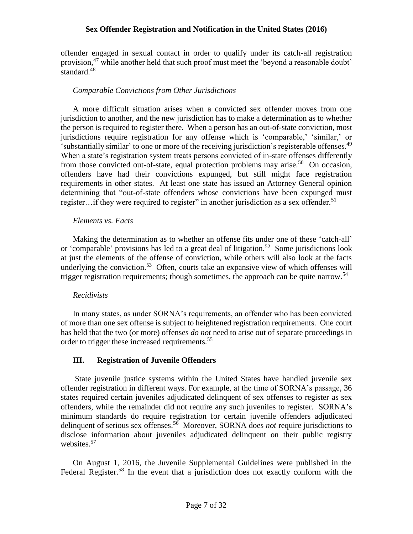offender engaged in sexual contact in order to qualify under its catch-all registration provision,<sup>47</sup> while another held that such proof must meet the 'beyond a reasonable doubt' standard. $48$ 

#### *Comparable Convictions from Other Jurisdictions*

A more difficult situation arises when a convicted sex offender moves from one jurisdiction to another, and the new jurisdiction has to make a determination as to whether the person is required to register there. When a person has an out-of-state conviction, most jurisdictions require registration for any offense which is 'comparable,' 'similar,' or 'substantially similar' to one or more of the receiving jurisdiction's registerable offenses.<sup>49</sup> When a state's registration system treats persons convicted of in-state offenses differently from those convicted out-of-state, equal protection problems may arise.<sup>50</sup> On occasion, offenders have had their convictions expunged, but still might face registration requirements in other states. At least one state has issued an Attorney General opinion determining that "out-of-state offenders whose convictions have been expunged must register...if they were required to register" in another jurisdiction as a sex offender.<sup>51</sup>

#### *Elements vs. Facts*

Making the determination as to whether an offense fits under one of these 'catch-all' or 'comparable' provisions has led to a great deal of litigation.<sup>52</sup> Some jurisdictions look at just the elements of the offense of conviction, while others will also look at the facts underlying the conviction.<sup>53</sup> Often, courts take an expansive view of which offenses will trigger registration requirements; though sometimes, the approach can be quite narrow.<sup>54</sup>

# *Recidivists*

In many states, as under SORNA's requirements, an offender who has been convicted of more than one sex offense is subject to heightened registration requirements. One court has held that the two (or more) offenses *do not* need to arise out of separate proceedings in order to trigger these increased requirements.<sup>55</sup>

# **III. Registration of Juvenile Offenders**

State juvenile justice systems within the United States have handled juvenile sex offender registration in different ways. For example, at the time of SORNA's passage, 36 states required certain juveniles adjudicated delinquent of sex offenses to register as sex offenders, while the remainder did not require any such juveniles to register. SORNA's minimum standards do require registration for certain juvenile offenders adjudicated delinquent of serious sex offenses.<sup>56</sup> Moreover, SORNA does *not* require jurisdictions to disclose information about juveniles adjudicated delinquent on their public registry websites.<sup>57</sup>

On August 1, 2016, the Juvenile Supplemental Guidelines were published in the Federal Register.<sup>58</sup> In the event that a jurisdiction does not exactly conform with the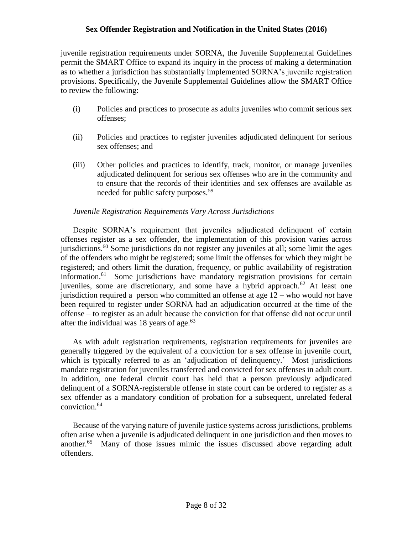juvenile registration requirements under SORNA, the Juvenile Supplemental Guidelines permit the SMART Office to expand its inquiry in the process of making a determination as to whether a jurisdiction has substantially implemented SORNA's juvenile registration provisions. Specifically, the Juvenile Supplemental Guidelines allow the SMART Office to review the following:

- (i) Policies and practices to prosecute as adults juveniles who commit serious sex offenses;
- (ii) Policies and practices to register juveniles adjudicated delinquent for serious sex offenses; and
- (iii) Other policies and practices to identify, track, monitor, or manage juveniles adjudicated delinquent for serious sex offenses who are in the community and to ensure that the records of their identities and sex offenses are available as needed for public safety purposes.<sup>59</sup>

#### *Juvenile Registration Requirements Vary Across Jurisdictions*

Despite SORNA's requirement that juveniles adjudicated delinquent of certain offenses register as a sex offender, the implementation of this provision varies across jurisdictions.<sup>60</sup> Some jurisdictions do not register any juveniles at all; some limit the ages of the offenders who might be registered; some limit the offenses for which they might be registered; and others limit the duration, frequency, or public availability of registration information.<sup>61</sup> Some jurisdictions have mandatory registration provisions for certain juveniles, some are discretionary, and some have a hybrid approach.<sup>62</sup> At least one jurisdiction required a person who committed an offense at age 12 – who would *not* have been required to register under SORNA had an adjudication occurred at the time of the offense – to register as an adult because the conviction for that offense did not occur until after the individual was 18 years of age.<sup>63</sup>

As with adult registration requirements, registration requirements for juveniles are generally triggered by the equivalent of a conviction for a sex offense in juvenile court, which is typically referred to as an 'adjudication of delinquency.' Most jurisdictions mandate registration for juveniles transferred and convicted for sex offenses in adult court. In addition, one federal circuit court has held that a person previously adjudicated delinquent of a SORNA-registerable offense in state court can be ordered to register as a sex offender as a mandatory condition of probation for a subsequent, unrelated federal conviction.<sup>64</sup>

Because of the varying nature of juvenile justice systems across jurisdictions, problems often arise when a juvenile is adjudicated delinquent in one jurisdiction and then moves to another.<sup>65</sup> Many of those issues mimic the issues discussed above regarding adult offenders.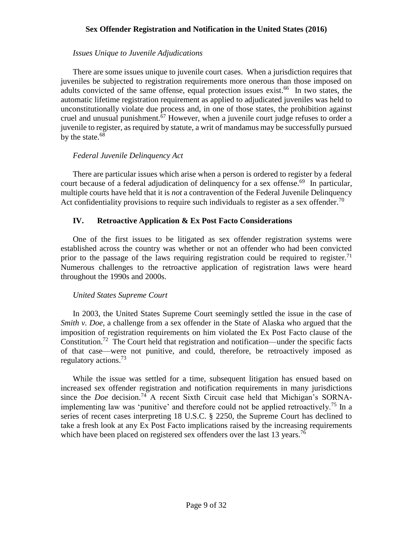#### *Issues Unique to Juvenile Adjudications*

There are some issues unique to juvenile court cases. When a jurisdiction requires that juveniles be subjected to registration requirements more onerous than those imposed on adults convicted of the same offense, equal protection issues exist.<sup>66</sup> In two states, the automatic lifetime registration requirement as applied to adjudicated juveniles was held to unconstitutionally violate due process and, in one of those states, the prohibition against cruel and unusual punishment.<sup>67</sup> However, when a juvenile court judge refuses to order a juvenile to register, as required by statute, a writ of mandamus may be successfully pursued by the state.<sup>68</sup>

#### *Federal Juvenile Delinquency Act*

There are particular issues which arise when a person is ordered to register by a federal court because of a federal adjudication of delinquency for a sex offense.<sup>69</sup> In particular, multiple courts have held that it is *not* a contravention of the Federal Juvenile Delinquency Act confidentiality provisions to require such individuals to register as a sex offender.<sup>70</sup>

#### **IV. Retroactive Application & Ex Post Facto Considerations**

One of the first issues to be litigated as sex offender registration systems were established across the country was whether or not an offender who had been convicted prior to the passage of the laws requiring registration could be required to register.<sup>71</sup> Numerous challenges to the retroactive application of registration laws were heard throughout the 1990s and 2000s.

#### *United States Supreme Court*

In 2003, the United States Supreme Court seemingly settled the issue in the case of *Smith v. Doe, a challenge from a sex offender in the State of Alaska who argued that the* imposition of registration requirements on him violated the Ex Post Facto clause of the Constitution.<sup>72</sup> The Court held that registration and notification—under the specific facts of that case—were not punitive, and could, therefore, be retroactively imposed as regulatory actions.<sup>73</sup>

While the issue was settled for a time, subsequent litigation has ensued based on increased sex offender registration and notification requirements in many jurisdictions since the *Doe* decision. <sup>74</sup> A recent Sixth Circuit case held that Michigan's SORNAimplementing law was 'punitive' and therefore could not be applied retroactively.<sup>75</sup> In a series of recent cases interpreting 18 U.S.C. § 2250, the Supreme Court has declined to take a fresh look at any Ex Post Facto implications raised by the increasing requirements which have been placed on registered sex offenders over the last 13 years.<sup>76</sup>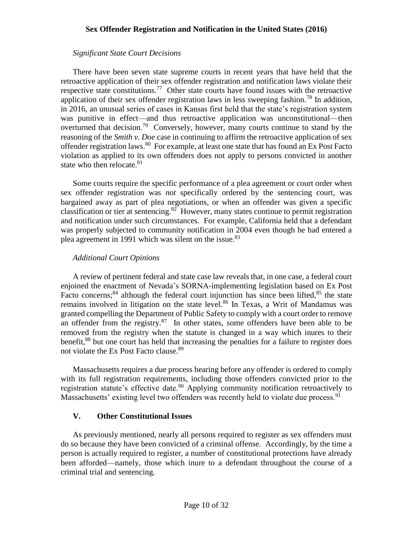#### *Significant State Court Decisions*

There have been seven state supreme courts in recent years that have held that the retroactive application of their sex offender registration and notification laws violate their respective state constitutions.<sup>77</sup> Other state courts have found issues with the retroactive application of their sex offender registration laws in less sweeping fashion.<sup>78</sup> In addition, in 2016, an unusual series of cases in Kansas first held that the state's registration system was punitive in effect—and thus retroactive application was unconstitutional—then overturned that decision.<sup>79</sup> Conversely, however, many courts continue to stand by the reasoning of the *Smith v. Doe* case in continuing to affirm the retroactive application of sex offender registration laws.<sup>80</sup> For example, at least one state that has found an Ex Post Facto violation as applied to its own offenders does not apply to persons convicted in another state who then relocate. $81$ 

Some courts require the specific performance of a plea agreement or court order when sex offender registration was *not* specifically ordered by the sentencing court, was bargained away as part of plea negotiations, or when an offender was given a specific classification or tier at sentencing.  $82$  However, many states continue to permit registration and notification under such circumstances. For example, California held that a defendant was properly subjected to community notification in 2004 even though he had entered a plea agreement in 1991 which was silent on the issue.<sup>83</sup>

#### *Additional Court Opinions*

A review of pertinent federal and state case law reveals that, in one case, a federal court enjoined the enactment of Nevada's SORNA-implementing legislation based on Ex Post Facto concerns;<sup>84</sup> although the federal court injunction has since been lifted,  $85$  the state remains involved in litigation on the state level.<sup>86</sup> In Texas, a Writ of Mandamus was granted compelling the Department of Public Safety to comply with a court order to remove an offender from the registry. $87$  In other states, some offenders have been able to be removed from the registry when the statute is changed in a way which inures to their benefit,<sup>88</sup> but one court has held that increasing the penalties for a failure to register does not violate the Ex Post Facto clause.<sup>89</sup>

Massachusetts requires a due process hearing before any offender is ordered to comply with its full registration requirements, including those offenders convicted prior to the registration statute's effective date.<sup>90</sup> Applying community notification retroactively to Massachusetts' existing level two offenders was recently held to violate due process.<sup>91</sup>

# **V. Other Constitutional Issues**

As previously mentioned, nearly all persons required to register as sex offenders must do so because they have been convicted of a criminal offense. Accordingly, by the time a person is actually required to register, a number of constitutional protections have already been afforded—namely, those which inure to a defendant throughout the course of a criminal trial and sentencing.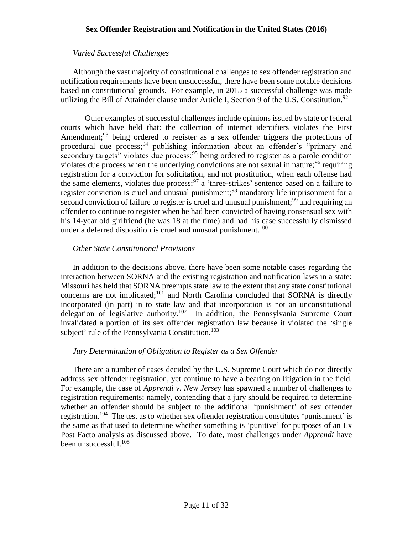#### *Varied Successful Challenges*

Although the vast majority of constitutional challenges to sex offender registration and notification requirements have been unsuccessful, there have been some notable decisions based on constitutional grounds. For example, in 2015 a successful challenge was made utilizing the Bill of Attainder clause under Article I, Section 9 of the U.S. Constitution.<sup>92</sup>

Other examples of successful challenges include opinions issued by state or federal courts which have held that: the collection of internet identifiers violates the First Amendment;<sup>93</sup> being ordered to register as a sex offender triggers the protections of procedural due process;<sup>94</sup> publishing information about an offender's "primary and secondary targets" violates due process;<sup>95</sup> being ordered to register as a parole condition violates due process when the underlying convictions are not sexual in nature;  $96$  requiring registration for a conviction for solicitation, and not prostitution, when each offense had the same elements, violates due process;  $97$  a 'three-strikes' sentence based on a failure to register conviction is cruel and unusual punishment;<sup>98</sup> mandatory life imprisonment for a second conviction of failure to register is cruel and unusual punishment;<sup>99</sup> and requiring an offender to continue to register when he had been convicted of having consensual sex with his 14-year old girlfriend (he was 18 at the time) and had his case successfully dismissed under a deferred disposition is cruel and unusual punishment.<sup>100</sup>

#### *Other State Constitutional Provisions*

In addition to the decisions above, there have been some notable cases regarding the interaction between SORNA and the existing registration and notification laws in a state: Missouri has held that SORNA preempts state law to the extent that any state constitutional concerns are not implicated; $^{101}$  and North Carolina concluded that SORNA is directly incorporated (in part) in to state law and that incorporation is not an unconstitutional delegation of legislative authority.<sup>102</sup> In addition, the Pennsylvania Supreme Court invalidated a portion of its sex offender registration law because it violated the 'single subject' rule of the Pennsylvania Constitution.<sup>103</sup>

# *Jury Determination of Obligation to Register as a Sex Offender*

There are a number of cases decided by the U.S. Supreme Court which do not directly address sex offender registration, yet continue to have a bearing on litigation in the field. For example, the case of *Apprendi v. New Jersey* has spawned a number of challenges to registration requirements; namely, contending that a jury should be required to determine whether an offender should be subject to the additional 'punishment' of sex offender registration.<sup>104</sup> The test as to whether sex offender registration constitutes 'punishment' is the same as that used to determine whether something is 'punitive' for purposes of an Ex Post Facto analysis as discussed above. To date, most challenges under *Apprendi* have been unsuccessful.<sup>105</sup>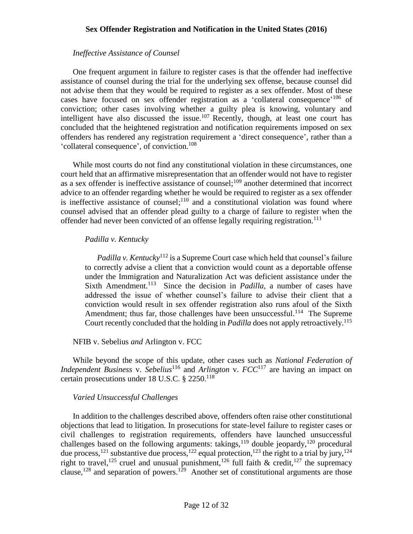#### *Ineffective Assistance of Counsel*

One frequent argument in failure to register cases is that the offender had ineffective assistance of counsel during the trial for the underlying sex offense, because counsel did not advise them that they would be required to register as a sex offender. Most of these cases have focused on sex offender registration as a 'collateral consequence'<sup>106</sup> of conviction; other cases involving whether a guilty plea is knowing, voluntary and intelligent have also discussed the issue.<sup>107</sup> Recently, though, at least one court has concluded that the heightened registration and notification requirements imposed on sex offenders has rendered any registration requirement a 'direct consequence', rather than a 'collateral consequence', of conviction.<sup>108</sup>

While most courts do not find any constitutional violation in these circumstances, one court held that an affirmative misrepresentation that an offender would not have to register as a sex offender is ineffective assistance of counsel;<sup>109</sup> another determined that incorrect advice to an offender regarding whether he would be required to register as a sex offender is ineffective assistance of counsel;  $110$  and a constitutional violation was found where counsel advised that an offender plead guilty to a charge of failure to register when the offender had never been convicted of an offense legally requiring registration.<sup>111</sup>

#### *Padilla v. Kentucky*

*Padilla v. Kentucky*<sup>112</sup> is a Supreme Court case which held that counsel's failure to correctly advise a client that a conviction would count as a deportable offense under the Immigration and Naturalization Act was deficient assistance under the Sixth Amendment.<sup>113</sup> Since the decision in *Padilla*, a number of cases have addressed the issue of whether counsel's failure to advise their client that a conviction would result in sex offender registration also runs afoul of the Sixth Amendment; thus far, those challenges have been unsuccessful.<sup>114</sup> The Supreme Court recently concluded that the holding in *Padilla* does not apply retroactively.<sup>115</sup>

#### NFIB v. Sebelius *and* Arlington v. FCC

While beyond the scope of this update, other cases such as *National Federation of Independent Business* v. *Sebelius*<sup>116</sup> and *Arlington* v.  $FCC^{117}$  are having an impact on certain prosecutions under 18 U.S.C. § 2250.<sup>118</sup>

#### *Varied Unsuccessful Challenges*

In addition to the challenges described above, offenders often raise other constitutional objections that lead to litigation. In prosecutions for state-level failure to register cases or civil challenges to registration requirements, offenders have launched unsuccessful challenges based on the following arguments: takings,<sup>119</sup> double jeopardy,<sup>120</sup> procedural due process,<sup>121</sup> substantive due process,<sup>122</sup> equal protection,<sup>123</sup> the right to a trial by jury,<sup>124</sup> right to travel,<sup>125</sup> cruel and unusual punishment,<sup>126</sup> full faith & credit,<sup>127</sup> the supremacy clause,<sup>128</sup> and separation of powers.<sup>129</sup> Another set of constitutional arguments are those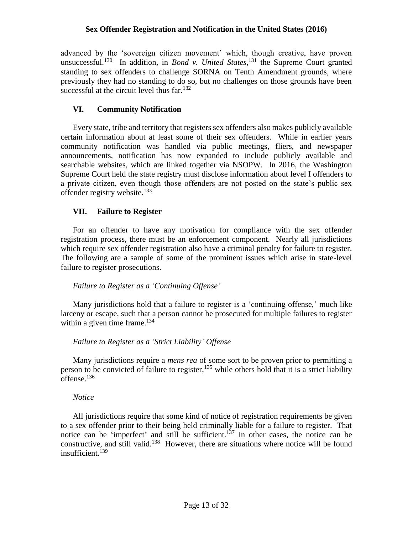advanced by the 'sovereign citizen movement' which, though creative, have proven unsuccessful.<sup>130</sup> In addition, in *Bond v. United States*,<sup>131</sup> the Supreme Court granted standing to sex offenders to challenge SORNA on Tenth Amendment grounds, where previously they had no standing to do so, but no challenges on those grounds have been successful at the circuit level thus far. $132$ 

# **VI. Community Notification**

Every state, tribe and territory that registers sex offenders also makes publicly available certain information about at least some of their sex offenders. While in earlier years community notification was handled via public meetings, fliers, and newspaper announcements, notification has now expanded to include publicly available and searchable websites, which are linked together via NSOPW. In 2016, the Washington Supreme Court held the state registry must disclose information about level I offenders to a private citizen, even though those offenders are not posted on the state's public sex offender registry website.<sup>133</sup>

# **VII. Failure to Register**

For an offender to have any motivation for compliance with the sex offender registration process, there must be an enforcement component. Nearly all jurisdictions which require sex offender registration also have a criminal penalty for failure to register. The following are a sample of some of the prominent issues which arise in state-level failure to register prosecutions.

# *Failure to Register as a 'Continuing Offense'*

Many jurisdictions hold that a failure to register is a 'continuing offense,' much like larceny or escape, such that a person cannot be prosecuted for multiple failures to register within a given time frame.<sup>134</sup>

# *Failure to Register as a 'Strict Liability' Offense*

Many jurisdictions require a *mens rea* of some sort to be proven prior to permitting a person to be convicted of failure to register,  $135$  while others hold that it is a strict liability offense.<sup>136</sup>

# *Notice*

All jurisdictions require that some kind of notice of registration requirements be given to a sex offender prior to their being held criminally liable for a failure to register. That notice can be 'imperfect' and still be sufficient.<sup>137</sup> In other cases, the notice can be constructive, and still valid.<sup>138</sup> However, there are situations where notice will be found insufficient.<sup>139</sup>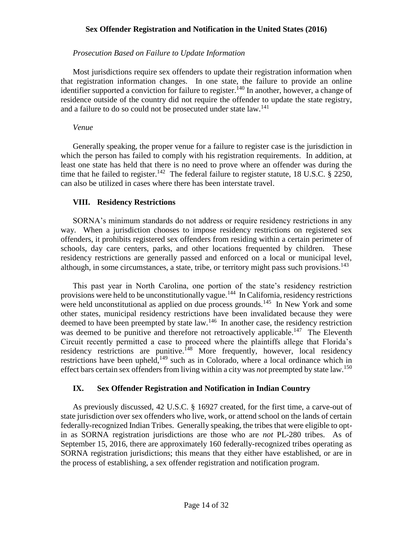#### *Prosecution Based on Failure to Update Information*

Most jurisdictions require sex offenders to update their registration information when that registration information changes. In one state, the failure to provide an online identifier supported a conviction for failure to register.<sup>140</sup> In another, however, a change of residence outside of the country did not require the offender to update the state registry, and a failure to do so could not be prosecuted under state law.<sup>141</sup>

#### *Venue*

Generally speaking, the proper venue for a failure to register case is the jurisdiction in which the person has failed to comply with his registration requirements. In addition, at least one state has held that there is no need to prove where an offender was during the time that he failed to register.<sup>142</sup> The federal failure to register statute, 18 U.S.C. § 2250, can also be utilized in cases where there has been interstate travel.

#### **VIII. Residency Restrictions**

SORNA's minimum standards do not address or require residency restrictions in any way. When a jurisdiction chooses to impose residency restrictions on registered sex offenders, it prohibits registered sex offenders from residing within a certain perimeter of schools, day care centers, parks, and other locations frequented by children. These residency restrictions are generally passed and enforced on a local or municipal level, although, in some circumstances, a state, tribe, or territory might pass such provisions.<sup>143</sup>

This past year in North Carolina, one portion of the state's residency restriction provisions were held to be unconstitutionally vague.<sup>144</sup> In California, residency restrictions were held unconstitutional as applied on due process grounds.<sup>145</sup> In New York and some other states, municipal residency restrictions have been invalidated because they were deemed to have been preempted by state law.<sup>146</sup> In another case, the residency restriction was deemed to be punitive and therefore not retroactively applicable.<sup>147</sup> The Eleventh Circuit recently permitted a case to proceed where the plaintiffs allege that Florida's residency restrictions are punitive.<sup>148</sup> More frequently, however, local residency restrictions have been upheld, <sup>149</sup> such as in Colorado, where a local ordinance which in effect bars certain sex offenders from living within a city was *not* preempted by state law.<sup>150</sup>

# **IX. Sex Offender Registration and Notification in Indian Country**

As previously discussed, 42 U.S.C. § 16927 created, for the first time, a carve-out of state jurisdiction over sex offenders who live, work, or attend school on the lands of certain federally-recognized Indian Tribes. Generally speaking, the tribes that were eligible to optin as SORNA registration jurisdictions are those who are *not* PL-280 tribes. As of September 15, 2016, there are approximately 160 federally-recognized tribes operating as SORNA registration jurisdictions; this means that they either have established, or are in the process of establishing, a sex offender registration and notification program.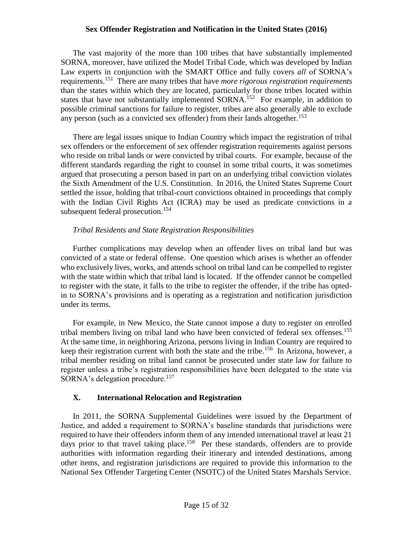The vast majority of the more than 100 tribes that have substantially implemented SORNA, moreover, have utilized the Model Tribal Code, which was developed by Indian Law experts in conjunction with the SMART Office and fully covers *all* of SORNA's requirements.<sup>151</sup> There are many tribes that have *more rigorous registration requirements*  than the states within which they are located, particularly for those tribes located within states that have not substantially implemented  $SORNA$ <sup>152</sup> For example, in addition to possible criminal sanctions for failure to register, tribes are also generally able to exclude any person (such as a convicted sex offender) from their lands altogether.<sup>153</sup>

There are legal issues unique to Indian Country which impact the registration of tribal sex offenders or the enforcement of sex offender registration requirements against persons who reside on tribal lands or were convicted by tribal courts. For example, because of the different standards regarding the right to counsel in some tribal courts, it was sometimes argued that prosecuting a person based in part on an underlying tribal conviction violates the Sixth Amendment of the U.S. Constitution. In 2016, the United States Supreme Court settled the issue, holding that tribal-court convictions obtained in proceedings that comply with the Indian Civil Rights Act (ICRA) may be used as predicate convictions in a subsequent federal prosecution.<sup>154</sup>

# *Tribal Residents and State Registration Responsibilities*

Further complications may develop when an offender lives on tribal land but was convicted of a state or federal offense. One question which arises is whether an offender who exclusively lives, works, and attends school on tribal land can be compelled to register with the state within which that tribal land is located. If the offender cannot be compelled to register with the state, it falls to the tribe to register the offender, if the tribe has optedin to SORNA's provisions and is operating as a registration and notification jurisdiction under its terms.

For example, in New Mexico, the State cannot impose a duty to register on enrolled tribal members living on tribal land who have been convicted of federal sex offenses.<sup>155</sup> At the same time, in neighboring Arizona, persons living in Indian Country are required to keep their registration current with both the state and the tribe.<sup>156</sup> In Arizona, however, a tribal member residing on tribal land cannot be prosecuted under state law for failure to register unless a tribe's registration responsibilities have been delegated to the state via SORNA's delegation procedure.<sup>157</sup>

# **X. International Relocation and Registration**

In 2011, the SORNA Supplemental Guidelines were issued by the Department of Justice, and added a requirement to SORNA's baseline standards that jurisdictions were required to have their offenders inform them of any intended international travel at least 21 days prior to that travel taking place.<sup>158</sup> Per these standards, offenders are to provide authorities with information regarding their itinerary and intended destinations, among other items, and registration jurisdictions are required to provide this information to the National Sex Offender Targeting Center (NSOTC) of the United States Marshals Service.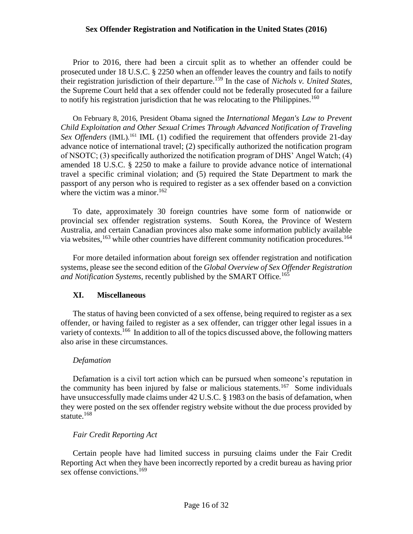Prior to 2016, there had been a circuit split as to whether an offender could be prosecuted under 18 U.S.C. § 2250 when an offender leaves the country and fails to notify their registration jurisdiction of their departure.<sup>159</sup> In the case of *Nichols v. United States*, the Supreme Court held that a sex offender could not be federally prosecuted for a failure to notify his registration jurisdiction that he was relocating to the Philippines.<sup>160</sup>

On February 8, 2016, President Obama signed the *International Megan's Law to Prevent Child Exploitation and Other Sexual Crimes Through Advanced Notification of Traveling*  Sex Offenders (IML)<sup>161</sup> IML (1) codified the requirement that offenders provide 21-day advance notice of international travel; (2) specifically authorized the notification program of NSOTC; (3) specifically authorized the notification program of DHS' Angel Watch; (4) amended 18 U.S.C. § 2250 to make a failure to provide advance notice of international travel a specific criminal violation; and (5) required the State Department to mark the passport of any person who is required to register as a sex offender based on a conviction where the victim was a minor. $162$ 

To date, approximately 30 foreign countries have some form of nationwide or provincial sex offender registration systems. South Korea, the Province of Western Australia, and certain Canadian provinces also make some information publicly available via websites,<sup>163</sup> while other countries have different community notification procedures.<sup>164</sup>

For more detailed information about foreign sex offender registration and notification systems, please see the second edition of the *Global Overview of Sex Offender Registration and Notification Systems*, recently published by the SMART Office*.* 165

#### **XI. Miscellaneous**

The status of having been convicted of a sex offense, being required to register as a sex offender, or having failed to register as a sex offender, can trigger other legal issues in a variety of contexts.<sup>166</sup> In addition to all of the topics discussed above, the following matters also arise in these circumstances.

#### *Defamation*

Defamation is a civil tort action which can be pursued when someone's reputation in the community has been injured by false or malicious statements.<sup>167</sup> Some individuals have unsuccessfully made claims under 42 U.S.C. § 1983 on the basis of defamation, when they were posted on the sex offender registry website without the due process provided by statute.<sup>168</sup>

# *Fair Credit Reporting Act*

Certain people have had limited success in pursuing claims under the Fair Credit Reporting Act when they have been incorrectly reported by a credit bureau as having prior sex offense convictions.<sup>169</sup>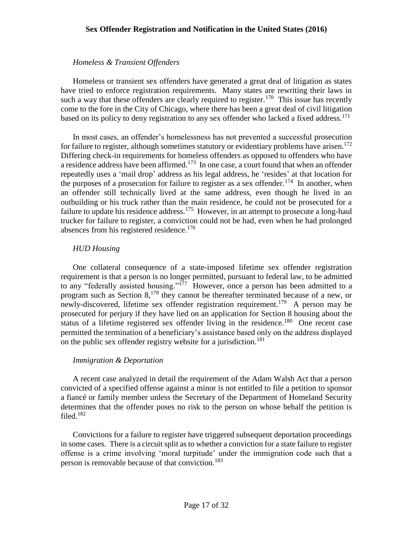# *Homeless & Transient Offenders*

Homeless or transient sex offenders have generated a great deal of litigation as states have tried to enforce registration requirements. Many states are rewriting their laws in such a way that these offenders are clearly required to register.<sup>170</sup> This issue has recently come to the fore in the City of Chicago, where there has been a great deal of civil litigation based on its policy to deny registration to any sex offender who lacked a fixed address.<sup>171</sup>

In most cases, an offender's homelessness has not prevented a successful prosecution for failure to register, although sometimes statutory or evidentiary problems have arisen.<sup>172</sup> Differing check-in requirements for homeless offenders as opposed to offenders who have a residence address have been affirmed.<sup>173</sup> In one case, a court found that when an offender repeatedly uses a 'mail drop' address as his legal address, he 'resides' at that location for the purposes of a prosecution for failure to register as a sex offender.<sup>174</sup> In another, when an offender still technically lived at the same address, even though he lived in an outbuilding or his truck rather than the main residence, he could not be prosecuted for a failure to update his residence address.<sup>175</sup> However, in an attempt to prosecute a long-haul trucker for failure to register, a conviction could not be had, even when he had prolonged absences from his registered residence.<sup>176</sup>

# *HUD Housing*

One collateral consequence of a state-imposed lifetime sex offender registration requirement is that a person is no longer permitted, pursuant to federal law, to be admitted to any "federally assisted housing."<sup>177</sup> However, once a person has been admitted to a program such as Section 8,<sup>178</sup> they cannot be thereafter terminated because of a new, or newly-discovered, lifetime sex offender registration requirement.<sup>179</sup> A person may be prosecuted for perjury if they have lied on an application for Section 8 housing about the status of a lifetime registered sex offender living in the residence.<sup>180</sup> One recent case permitted the termination of a beneficiary's assistance based only on the address displayed on the public sex offender registry website for a jurisdiction.<sup>181</sup>

# *Immigration & Deportation*

A recent case analyzed in detail the requirement of the Adam Walsh Act that a person convicted of a specified offense against a minor is not entitled to file a petition to sponsor a fiancé or family member unless the Secretary of the Department of Homeland Security determines that the offender poses no risk to the person on whose behalf the petition is filed.<sup>182</sup>

Convictions for a failure to register have triggered subsequent deportation proceedings in some cases. There is a circuit split as to whether a conviction for a state failure to register offense is a crime involving 'moral turpitude' under the immigration code such that a person is removable because of that conviction.<sup>183</sup>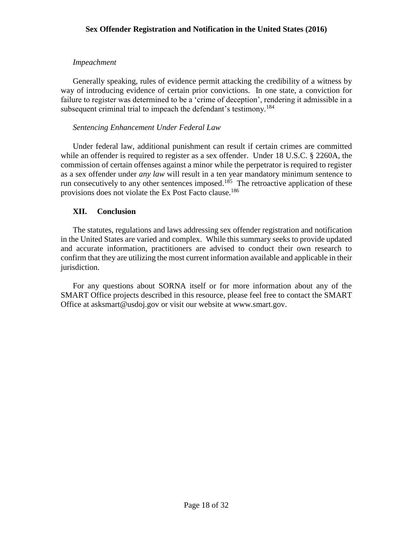# *Impeachment*

Generally speaking, rules of evidence permit attacking the credibility of a witness by way of introducing evidence of certain prior convictions. In one state, a conviction for failure to register was determined to be a 'crime of deception', rendering it admissible in a subsequent criminal trial to impeach the defendant's testimony.<sup>184</sup>

#### *Sentencing Enhancement Under Federal Law*

Under federal law, additional punishment can result if certain crimes are committed while an offender is required to register as a sex offender. Under 18 U.S.C. § 2260A, the commission of certain offenses against a minor while the perpetrator is required to register as a sex offender under *any law* will result in a ten year mandatory minimum sentence to run consecutively to any other sentences imposed.<sup>185</sup> The retroactive application of these provisions does not violate the Ex Post Facto clause.<sup>186</sup>

# **XII. Conclusion**

The statutes, regulations and laws addressing sex offender registration and notification in the United States are varied and complex. While this summary seeks to provide updated and accurate information, practitioners are advised to conduct their own research to confirm that they are utilizing the most current information available and applicable in their jurisdiction.

 For any questions about SORNA itself or for more information about any of the SMART Office projects described in this resource, please feel free to contact the SMART Office at asksmart@usdoj.gov or visit our website at www.smart.gov.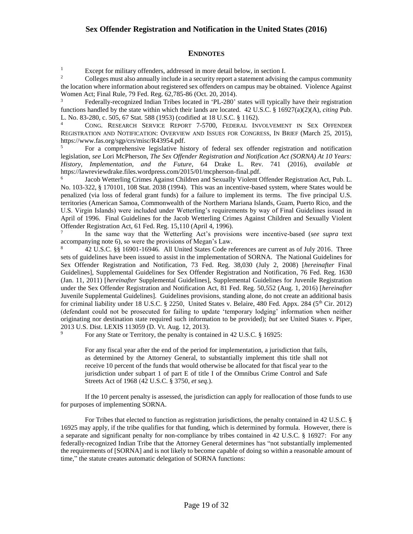#### **ENDNOTES**

Except for military offenders, addressed in more detail below, in section I.<br>Colleges must also annually include in a security report a statement advising

<sup>2</sup> Colleges must also annually include in a security report a statement advising the campus community the location where information about registered sex offenders on campus may be obtained. Violence Against Women Act; Final Rule, 79 Fed. Reg. 62,785-86 (Oct. 20, 2014).

Federally-recognized Indian Tribes located in 'PL-280' states will typically have their registration functions handled by the state within which their lands are located. 42 U.S.C. § 16927(a)(2)(A), *citing* Pub. L. No. 83-280, c. 505, 67 Stat. 588 (1953) (codified at 18 U.S.C. § 1162).

<sup>4</sup> CONG. RESEARCH SERVICE REPORT 7-5700, FEDERAL INVOLVEMENT IN SEX OFFENDER REGISTRATION AND NOTIFICATION: OVERVIEW AND ISSUES FOR CONGRESS, IN BRIEF (March 25, 2015), https://www.fas.org/sgp/crs/misc/R43954.pdf.

<sup>5</sup> For a comprehensive legislative history of federal sex offender registration and notification legislation, *see* Lori McPherson, *The Sex Offender Registration and Notification Act (SORNA) At 10 Years: History, Implementation, and the Future*, 64 Drake L. Rev. 741 (2016), *available at* https://lawreviewdrake.files.wordpress.com/2015/01/mcpherson-final.pdf.

6 Jacob Wetterling Crimes Against Children and Sexually Violent Offender Registration Act, Pub. L. No. 103-322, § 170101, 108 Stat. 2038 (1994). This was an incentive-based system, where States would be penalized (via loss of federal grant funds) for a failure to implement its terms. The five principal U.S. territories (American Samoa, Commonwealth of the Northern Mariana Islands, Guam, Puerto Rico, and the U.S. Virgin Islands) were included under Wetterling's requirements by way of Final Guidelines issued in April of 1996. Final Guidelines for the Jacob Wetterling Crimes Against Children and Sexually Violent Offender Registration Act, 61 Fed. Reg. 15,110 (April 4, 1996).

7 In the same way that the Wetterling Act's provisions were incentive-based (*see supra* text accompanying note 6), so were the provisions of Megan's Law.

<sup>8</sup> 42 U.S.C. §§ 16901-16946*.* All United States Code references are current as of July 2016. Three sets of guidelines have been issued to assist in the implementation of SORNA. The National Guidelines for Sex Offender Registration and Notification, 73 Fed. Reg. 38,030 (July 2, 2008) [*hereinafter* Final Guidelines], Supplemental Guidelines for Sex Offender Registration and Notification, 76 Fed. Reg. 1630 (Jan. 11, 2011) [*hereinafter* Supplemental Guidelines], Supplemental Guidelines for Juvenile Registration under the Sex Offender Registration and Notification Act, 81 Fed. Reg. 50,552 (Aug. 1, 2016) [*hereinafter*  Juvenile Supplemental Guidelines]. Guidelines provisions, standing alone, do not create an additional basis for criminal liability under 18 U.S.C. § 2250, United States v. Belaire, 480 Fed. Appx. 284 (5<sup>th</sup> Cir. 2012) (defendant could not be prosecuted for failing to update 'temporary lodging' information when neither originating nor destination state required such information to be provided); *but see* United States v. Piper, 2013 U.S. Dist. LEXIS 113059 (D. Vt. Aug. 12, 2013).

For any State or Territory, the penalty is contained in 42 U.S.C. § 16925:

For any fiscal year after the end of the period for implementation, a jurisdiction that fails, as determined by the Attorney General, to substantially implement this title shall not receive 10 percent of the funds that would otherwise be allocated for that fiscal year to the jurisdiction under subpart 1 of part E of title I of the Omnibus Crime Control and Safe Streets Act of 1968 (42 U.S.C. § 3750, *et seq.*).

If the 10 percent penalty is assessed, the jurisdiction can apply for reallocation of those funds to use for purposes of implementing SORNA.

For Tribes that elected to function as registration jurisdictions, the penalty contained in 42 U.S.C. § 16925 may apply, if the tribe qualifies for that funding, which is determined by formula. However, there is a separate and significant penalty for non-compliance by tribes contained in 42 U.S.C. § 16927: For any federally-recognized Indian Tribe that the Attorney General determines has "not substantially implemented the requirements of [SORNA] and is not likely to become capable of doing so within a reasonable amount of time," the statute creates automatic delegation of SORNA functions: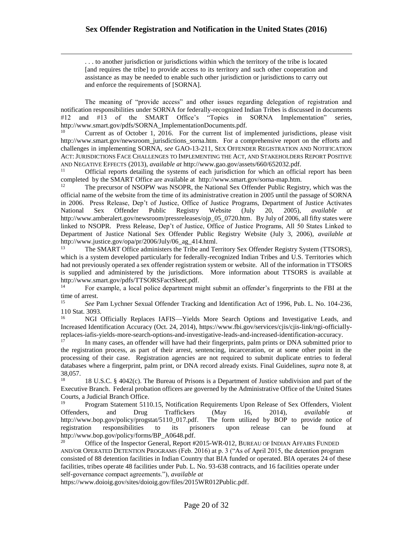$\overline{a}$ 

. . . to another jurisdiction or jurisdictions within which the territory of the tribe is located [and requires the tribe] to provide access to its territory and such other cooperation and assistance as may be needed to enable such other jurisdiction or jurisdictions to carry out and enforce the requirements of [SORNA].

The meaning of "provide access" and other issues regarding delegation of registration and notification responsibilities under SORNA for federally-recognized Indian Tribes is discussed in documents #12 and #13 of the SMART Office's "Topics in SORNA Implementation" series, http://www.smart.gov/pdfs/SORNA\_ImplementationDocuments.pdf.

<sup>10</sup> Current as of October 1, 2016. For the current list of implemented jurisdictions, please visit http://www.smart.gov/newsroom\_jurisdictions\_sorna.htm. For a comprehensive report on the efforts and challenges in implementing SORNA, *see* GAO-13-211, SEX OFFENDER REGISTRATION AND NOTIFICATION ACT:JURISDICTIONS FACE CHALLENGES TO IMPLEMENTING THE ACT, AND STAKEHOLDERS REPORT POSITIVE AND NEGATIVE EFFECTS (2013), *available at* http://www.gao.gov/assets/660/652032.pdf.

<sup>11</sup> Official reports detailing the systems of each jurisdiction for which an official report has been completed by the SMART Office are available at http://www.smart.gov/sorna-map.htm.

<sup>12</sup> The precursor of NSOPW was NSOPR, the National Sex Offender Public Registry, which was the official name of the website from the time of its administrative creation in 2005 until the passage of SORNA in 2006. Press Release, Dep't of Justice, Office of Justice Programs, Department of Justice Activates National Sex Offender Public Registry Website (July 20, 2005), *available at*  http://www.amberalert.gov/newsroom/pressreleases/ojp\_05\_0720.htm. By July of 2006, all fifty states were linked to NSOPR. Press Release, Dep't of Justice, Office of Justice Programs, All 50 States Linked to Department of Justice National Sex Offender Public Registry Website (July 3, 2006), *available at* http://www.justice.gov/opa/pr/2006/July/06\_ag\_414.html.

<sup>13</sup> The SMART Office administers the Tribe and Territory Sex Offender Registry System (TTSORS), which is a system developed particularly for federally-recognized Indian Tribes and U.S. Territories which had not previously operated a sex offender registration system or website. All of the information in TTSORS is supplied and administered by the jurisdictions. More information about TTSORS is available at http://www.smart.gov/pdfs/TTSORSFactSheet.pdf.<br><sup>14</sup> For example a local police department m

<sup>14</sup> For example, a local police department might submit an offender's fingerprints to the FBI at the time of arrest.

<sup>15</sup> *See* Pam Lychner Sexual Offender Tracking and Identification Act of 1996, Pub. L. No. 104-236, 110 Stat. 3093.

<sup>16</sup> NGI Officially Replaces IAFIS—Yields More Search Options and Investigative Leads, and Increased Identification Accuracy (Oct. 24, 2014), https://www.fbi.gov/services/cjis/cjis-link/ngi-officiallyreplaces-iafis-yields-more-search-options-and-investigative-leads-and-increased-identification-accuracy.

<sup>17</sup> In many cases, an offender will have had their fingerprints, palm prints or DNA submitted prior to the registration process, as part of their arrest, sentencing, incarceration, or at some other point in the processing of their case. Registration agencies are not required to submit duplicate entries to federal databases where a fingerprint, palm print, or DNA record already exists. Final Guidelines, *supra* note 8, at 38,057.<br>18

<sup>18</sup> 18 U.S.C. § 4042(c). The Bureau of Prisons is a Department of Justice subdivision and part of the Executive Branch. Federal probation officers are governed by the Administrative Office of the United States Courts, a Judicial Branch Office.

<sup>19</sup> Program Statement 5110.15, Notification Requirements Upon Release of Sex Offenders, Violent Offenders, and Drug Traffickers (May 16, 2014), *available at*  http://www.bop.gov/policy/progstat/5110 017.pdf. The form utilized by BOP to provide notice of registration responsibilities to its prisoners upon release can be found at http://www.bop.gov/policy/forms/BP\_A0648.pdf.

<sup>20</sup> Office of the Inspector General, Report #2015-WR-012, BUREAU OF INDIAN AFFAIRS FUNDED AND/OR OPERATED DETENTION PROGRAMS (Feb. 2016) at p. 3 ("As of April 2015, the detention program consisted of 88 detention facilities in Indian Country that BIA funded or operated. BIA operates 24 of these facilities, tribes operate 48 facilities under Pub. L. No. 93-638 contracts, and 16 facilities operate under self-governance compact agreements."), *available at* 

https://www.doioig.gov/sites/doioig.gov/files/2015WR012Public.pdf.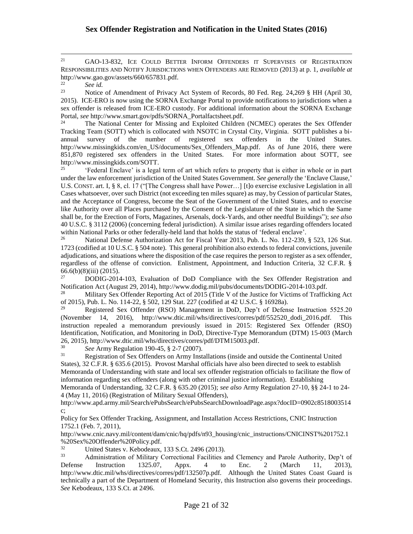<sup>21</sup> GAO-13-832, ICE COULD BETTER INFORM OFFENDERS IT SUPERVISES OF REGISTRATION RESPONSIBILITIES AND NOTIFY JURISDICTIONS WHEN OFFENDERS ARE REMOVED (2013) at p. 1, *available at*  http://www.gao.gov/assets/660/657831.pdf.

<sup>22</sup> *See id.*

 $\overline{a}$ 

Notice of Amendment of Privacy Act System of Records, 80 Fed. Reg. 24,269 § HH (April 30, 2015). ICE-ERO is now using the SORNA Exchange Portal to provide notifications to jurisdictions when a sex offender is released from ICE-ERO custody. For additional information about the SORNA Exchange Portal, *see* http://www.smart.gov/pdfs/SORNA\_Portalfactsheet.pdf.

<sup>24</sup> The National Center for Missing and Exploited Children (NCMEC) operates the Sex Offender Tracking Team (SOTT) which is collocated with NSOTC in Crystal City, Virginia. SOTT publishes a biannual survey of the number of registered sex offenders in the United States. http://www.missingkids.com/en\_US/documents/Sex\_Offenders\_Map.pdf. As of June 2016, there were 851,870 registered sex offenders in the United States. For more information about SOTT, see http://www.missingkids.com/SOTT.

<sup>25</sup> 'Federal Enclave' is a legal term of art which refers to property that is either in whole or in part under the law enforcement jurisdiction of the United States Government. *See generally* the 'Enclave Clause,' U.S. CONST. art. I, § 8, cl. 17 ("[The Congress shall have Power…] [t]o exercise exclusive Legislation in all Cases whatsoever, over such District (not exceeding ten miles square) as may, by Cession of particular States, and the Acceptance of Congress, become the Seat of the Government of the United States, and to exercise like Authority over all Places purchased by the Consent of the Legislature of the State in which the Same shall be, for the Erection of Forts, Magazines, Arsenals, dock-Yards, and other needful Buildings"); *see also* 40 U.S.C. § 3112 (2006) (concerning federal jurisdiction). A similar issue arises regarding offenders located within National Parks or other federally-held land that holds the status of 'federal enclave'.<br><sup>26</sup> National Defense Authorization Act for Eiseal Year 2013, Pub J. No. 112,239.

<sup>26</sup> National Defense Authorization Act for Fiscal Year 2013, Pub. L. No. 112-239, § 523, 126 Stat. 1723 (codified at 10 U.S.C. § 504 note). This general prohibition also extends to federal convictions, juvenile adjudications, and situations where the disposition of the case requires the person to register as a sex offender, regardless of the offense of conviction. Enlistment, Appointment, and Induction Criteria, 32 C.F.R. § 66.6(b)(8)(iii) (2015).

<sup>27</sup> DODIG-2014-103, Evaluation of DoD Compliance with the Sex Offender Registration and Notification Act (August 29, 2014), http://www.dodig.mil/pubs/documents/DODIG-2014-103.pdf.

<sup>28</sup> Military Sex Offender Reporting Act of 2015 (Title V of the Justice for Victims of Trafficking Act of 2015), Pub. L. No. 114-22, § 502, 129 Stat. 227 (codified at 42 U.S.C. § 16928a).

<sup>29</sup> Registered Sex Offender (RSO) Management in DoD, Dep't of Defense Instruction 5525.20 (November 14, 2016), http://www.dtic.mil/whs/directives/corres/pdf/552520\_dodi\_2016.pdf. This instruction repealed a memorandum previously issued in 2015: Registered Sex Offender (RSO) Identification, Notification, and Monitoring in DoD, Directive-Type Memorandum (DTM) 15-003 (March 26, 2015), http://www.dtic.mil/whs/directives/corres/pdf/DTM15003.pdf.<br> $\frac{30}{20}$  See Army Beaulation 100 45 \$ 2.7 (2007)

 $\frac{30}{31}$  *See* Army Regulation 190-45, § 2-7 (2007).

<sup>31</sup> Registration of Sex Offenders on Army Installations (inside and outside the Continental United States), 32 C.F.R. § 635.6 (2015). Provost Marshal officials have also been directed to seek to establish Memoranda of Understanding with state and local sex offender registration officials to facilitate the flow of information regarding sex offenders (along with other criminal justice information). Establishing

Memoranda of Understanding, 32 C.F.R. § 635.20 (2015); *see also* Army Regulation 27-10, §§ 24-1 to 24- 4 (May 11, 2016) (Registration of Military Sexual Offenders),

http://www.apd.army.mil/Search/ePubsSearch/ePubsSearchDownloadPage.aspx?docID=0902c8518003514 c;

Policy for Sex Offender Tracking, Assignment, and Installation Access Restrictions, CNIC Instruction 1752.1 (Feb. 7, 2011),

http://www.cnic.navy.mil/content/dam/cnic/hq/pdfs/n93\_housing/cnic\_instructions/CNICINST%201752.1 %20Sex%20Offender%20Policy.pdf.

 $\frac{32}{33}$  United States v. Kebodeaux, 133 S.Ct. 2496 (2013).<br>Administration of Military Correctional Eacilities a

Administration of Military Correctional Facilities and Clemency and Parole Authority, Dep't of Instruction 1325.07, Appx. 4 to Enc. 2 (March 11, 2013), Defense Instruction 1325.07, Appx. 4 to Enc. 2 (March 11, 2013), http://www.dtic.mil/whs/directives/corres/pdf/132507p.pdf. Although the United States Coast Guard is technically a part of the Department of Homeland Security, this Instruction also governs their proceedings. *See* Kebodeaux, 133 S.Ct. at 2496.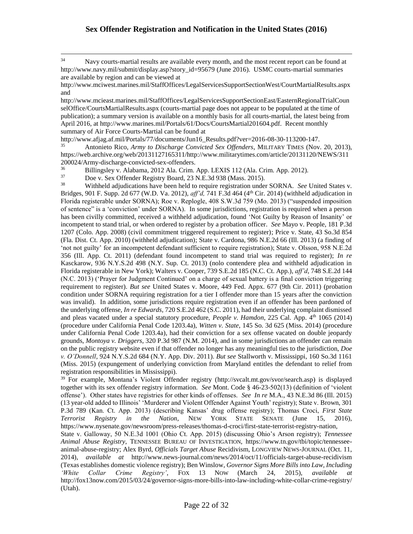<sup>34</sup> Navy courts-martial results are available every month, and the most recent report can be found at http://www.navy.mil/submit/display.asp?story\_id=95679 (June 2016). USMC courts-martial summaries are available by region and can be viewed at

http://www.mciwest.marines.mil/StaffOffices/LegalServicesSupportSectionWest/CourtMartialResults.aspx and

http://www.mcieast.marines.mil/StaffOffices/LegalServicesSupportSectionEast/EasternRegionalTrialCoun selOffice/CourtsMartialResults.aspx (courts-martial page does not appear to be populated at the time of publication); a summary version is available on a monthly basis for all courts-martial, the latest being from April 2016, at http://www.marines.mil/Portals/61/Docs/CourtsMartial201604.pdf. Recent monthly summary of Air Force Courts-Martial can be found at

http://www.afjag.af.mil/Portals/77/documents/Jun16\_Results.pdf?ver=2016-08-30-113200-147.

<sup>35</sup> Antonieto Rico, *Army to Discharge Convicted Sex Offenders*, MILITARY TIMES (Nov. 20, 2013), https://web.archive.org/web/20131127165311/http://www.militarytimes.com/article/20131120/NEWS/311 200024/Army-discharge-convicted-sex-offenders.<br><sup>36</sup> Billingsley v Alabama 2012 Ala Crim

<sup>36</sup> Billingsley v. Alabama, 2012 Ala. Crim. App. LEXIS 112 (Ala. Crim. App. 2012).<br><sup>37</sup> Doe v. Sex Offender Begistry Board. 23 N.E. 3d 938 (Mass. 2015).

 $37$  Doe v. Sex Offender Registry Board, 23 N.E.3d 938 (Mass. 2015).<br>38 Withheld adjudications have been held to require registration under

 $\overline{a}$ 

<sup>38</sup> Withheld adjudications have been held to require registration under SORNA. *See* United States v. Bridges, 901 F. Supp. 2d 677 (W.D. Va. 2012), *aff'd,* 741 F.3d 464 (4th Cir. 2014) (withheld adjudication in Florida registerable under SORNA); Roe v. Replogle, 408 S.W.3d 759 (Mo. 2013) ("suspended imposition of sentence" is a 'conviction' under SORNA). In some jurisdictions, registration is required when a person has been civilly committed, received a withheld adjudication, found 'Not Guilty by Reason of Insanity' or incompetent to stand trial, or when ordered to register by a probation officer. *See* Mayo v. People, 181 P.3d 1207 (Colo. App. 2008) (civil commitment triggered requirement to register); Price v. State, 43 So.3d 854 (Fla. Dist. Ct. App. 2010) (withheld adjudication); State v. Cardona, 986 N.E.2d 66 (Ill. 2013) (a finding of 'not not guilty' for an incompetent defendant sufficient to require registration); State v. Olsson, 958 N.E.2d 356 (Ill. App. Ct. 2011) (defendant found incompetent to stand trial was required to register); *In re* Kasckarow, 936 N.Y.S.2d 498 (N.Y. Sup. Ct. 2013) (nolo contendere plea and withheld adjudication in Florida registerable in New York); Walters v. Cooper, 739 S.E.2d 185 (N.C. Ct. App.), *aff'd*, 748 S.E.2d 144 (N.C. 2013) ('Prayer for Judgment Continued' on a charge of sexual battery is a final conviction triggering requirement to register). *But see* United States v. Moore, 449 Fed. Appx. 677 (9th Cir. 2011) (probation condition under SORNA requiring registration for a tier I offender more than 15 years after the conviction was invalid). In addition, some jurisdictions require registration even if an offender has been pardoned of the underlying offense, *In re Edwards*, 720 S.E.2d 462 (S.C. 2011), had their underlying complaint dismissed and pleas vacated under a special statutory procedure, *People v. Hamdon*, 225 Cal. App. 4<sup>th</sup> 1065 (2014) (procedure under California Penal Code 1203.4a), *Witten v. State*, 145 So. 3d 625 (Miss. 2014) (procedure under California Penal Code 1203.4a), had their conviction for a sex offense vacated on double jeopardy grounds, *Montoya v. Driggers*, 320 P.3d 987 (N.M. 2014), and in some jurisdictions an offender can remain on the public registry website even if that offender no longer has any meaningful ties to the jurisdiction, *Doe v. O'Donnell*, 924 N.Y.S.2d 684 (N.Y. App. Div. 2011). *But see* Stallworth v. Mississippi, 160 So.3d 1161 (Miss. 2015) (expungement of underlying conviction from Maryland entitles the defendant to relief from registration responsibilities in Mississippi).

<sup>39</sup> For example, Montana's Violent Offender registry (http://svcalt.mt.gov/svor/search.asp) is displayed together with its sex offender registry information. *See* Mont. Code § 46-23-502(13) (definition of 'violent offense'). Other states have registries for other kinds of offenses. *See In re* M.A., 43 N.E.3d 86 (Ill. 2015) (13 year-old added to Illinois' 'Murderer and Violent Offender Against Youth' registry); State v. Brown, 301 P.3d 789 (Kan. Ct. App. 2013) (describing Kansas' drug offense registry); Thomas Croci, *First State Terrorist Registry in the Nation*, NEW YORK STATE SENATE (June 15, 2016), https://www.nysenate.gov/newsroom/press-releases/thomas-d-croci/first-state-terrorist-registry-nation,

State v. Galloway, 50 N.E.3d 1001 (Ohio Ct. App. 2015) (discussing Ohio's Arson registry); *Tennessee Animal Abuse Registry*, TENNESSEE BUREAU OF INVESTIGATION, https://www.tn.gov/tbi/topic/tennesseeanimal-abuse-registry; Alex Byrd, *Officials Target Abuse* Recidivism, LONGVIEW NEWS-JOURNAL (Oct. 11, 2014), *available at* http://www.news-journal.com/news/2014/oct/11/officials-target-abuse-recidivism (Texas establishes domestic violence registry); Ben Winslow, *Governor Signs More Bills into Law, Including 'White Collar Crime Registry'*, FOX 13 NOW (March 24, 2015), *available at*  http://fox13now.com/2015/03/24/governor-signs-more-bills-into-law-including-white-collar-crime-registry/ (Utah).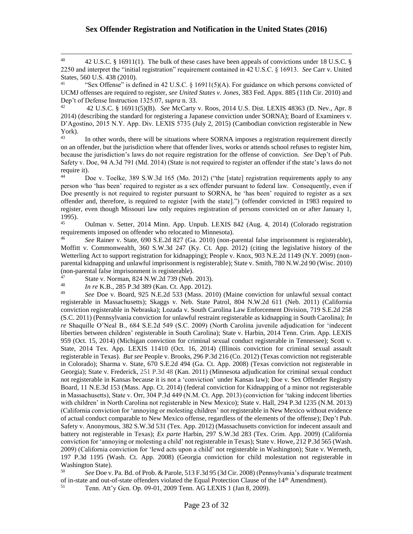<sup>40</sup> 42 U.S.C. § 16911(1). The bulk of these cases have been appeals of convictions under 18 U.S.C. § 2250 and interpret the "initial registration" requirement contained in 42 U.S.C. § 16913. *See* Carr v. United States, 560 U.S. 438 (2010).

"Sex Offense" is defined in 42 U.S.C. § 16911(5)(A). For guidance on which persons convicted of UCMJ offenses are required to register, *see United States v. Jones*, 383 Fed. Appx. 885 (11th Cir. 2010) and Dep't of Defense Instruction 1325.07, *supra* n. 33.

<sup>42</sup> 42 U.S.C. § 16911(5)(B). *See* McCarty v. Roos, 2014 U.S. Dist. LEXIS 48363 (D. Nev., Apr. 8 2014) (describing the standard for registering a Japanese conviction under SORNA); Board of Examiners v. D'Agostino, 2015 N.Y. App. Div. LEXIS 5735 (July 2, 2015) (Cambodian conviction registerable in New York).

In other words, there will be situations where SORNA imposes a registration requirement directly on an offender, but the jurisdiction where that offender lives, works or attends school refuses to register him, because the jurisdiction's laws do not require registration for the offense of conviction. *See* Dep't of Pub. Safety v. Doe, 94 A.3d 791 (Md. 2014) (State is not required to register an offender if the state's laws do not require it).

Doe v. Toelke, 389 S.W.3d 165 (Mo. 2012) ("the [state] registration requirements apply to any person who 'has been' required to register as a sex offender pursuant to federal law. Consequently, even if Doe presently is not required to register pursuant to SORNA, he 'has been' required to register as a sex offender and, therefore, is required to register [with the state].") (offender convicted in 1983 required to register, even though Missouri law only requires registration of persons convicted on or after January 1, 1995).

<sup>45</sup> Oulman v. Setter, 2014 Minn. App. Unpub. LEXIS 842 (Aug. 4, 2014) (Colorado registration requirements imposed on offender who relocated to Minnesota).

<sup>46</sup> *See* Rainer v. State, 690 S.E.2d 827 (Ga. 2010) (non-parental false imprisonment is registerable), Moffitt v. Commonwealth, 360 S.W.3d 247 (Ky. Ct. App. 2012) (citing the legislative history of the Wetterling Act to support registration for kidnapping); People v. Knox, 903 N.E.2d 1149 (N.Y. 2009) (nonparental kidnapping and unlawful imprisonment is registerable); State v. Smith, 780 N.W.2d 90 (Wisc. 2010) (non-parental false imprisonment is registerable).<br> $^{47}$  State v. Norman, 224 N W 2d 720 (Nob

47 State v. Norman, 824 N.W.2d 739 (Neb. 2013).<br>48 In re K B 285 P 3d 389 (Kan Ct. App. 2012).

 $\overline{a}$ 

48 *In re* K.B., 285 P.3d 389 (Kan. Ct. App. 2012).<br><sup>49</sup> See Doe y Board 925 N F 2d 533 (Mass. 20)

<sup>49</sup> *See* Doe v. Board, 925 N.E.2d 533 (Mass. 2010) (Maine conviction for unlawful sexual contact registerable in Massachusetts); Skaggs v. Neb. State Patrol, 804 N.W.2d 611 (Neb. 2011) (California conviction registerable in Nebraska); Lozada v. South Carolina Law Enforcement Division, 719 S.E.2d 258 (S.C. 2011) (Pennsylvania conviction for unlawful restraint registerable as kidnapping in South Carolina); *In re* Shaquille O'Neal B., 684 S.E.2d 549 (S.C. 2009) (North Carolina juvenile adjudication for 'indecent liberties between children' registerable in South Carolina); State v. Harbin, 2014 Tenn. Crim. App. LEXIS 959 (Oct. 15, 2014) (Michigan conviction for criminal sexual conduct registerable in Tennessee); Scott v. State, 2014 Tex. App. LEXIS 11410 (Oct. 16, 2014) (Illinois conviction for criminal sexual assault registerable in Texas). *But see* People v. Brooks, 296 P.3d 216 (Co. 2012) (Texas conviction not registerable in Colorado); Sharma v. State, 670 S.E.2d 494 (Ga. Ct. App. 2008) (Texas conviction not registerable in Georgia); State v. Frederick, 251 P.3d 48 (Kan. 2011) (Minnesota adjudication for criminal sexual conduct not registerable in Kansas because it is not a 'conviction' under Kansas law); Doe v. Sex Offender Registry Board, 11 N.E.3d 153 (Mass. App. Ct. 2014) (federal conviction for Kidnapping of a minor not registerable in Massachusetts), State v. Orr, 304 P.3d 449 (N.M. Ct. App. 2013) (conviction for 'taking indecent liberties with children' in North Carolina not registerable in New Mexico); State v. Hall, 294 P.3d 1235 (N.M. 2013) (California conviction for 'annoying or molesting children' not registerable in New Mexico without evidence of actual conduct comparable to New Mexico offense, regardless of the elements of the offense); Dep't Pub. Safety v. Anonymous, 382 S.W.3d 531 (Tex. App. 2012) (Massachusetts conviction for indecent assault and battery not registerable in Texas); *Ex parte* Harbin, 297 S.W.3d 283 (Tex. Crim. App. 2009) (California conviction for 'annoying or molesting a child' not registerable in Texas); State v. Howe, 212 P.3d 565 (Wash. 2009) (California conviction for 'lewd acts upon a child' not registerable in Washington); State v. Werneth, 197 P.3d 1195 (Wash. Ct. App. 2008) (Georgia conviction for child molestation not registerable in Washington State).<br> $\frac{50}{2}$  See Doe v

<sup>50</sup> *See* Doe v. Pa. Bd. of Prob. & Parole, 513 F.3d 95 (3d Cir. 2008) (Pennsylvania's disparate treatment of in-state and out-of-state offenders violated the Equal Protection Clause of the  $14<sup>th</sup>$  Amendment).<br>  $\frac{5!}{1!}$  Tenn, Att'y Gen, Op. 09.01.2009 Tenn, AG I EXIS 1 (Jan 8, 2009)

<sup>51</sup> Tenn. Att'y Gen. Op. 09-01, 2009 Tenn. AG LEXIS 1 (Jan 8, 2009).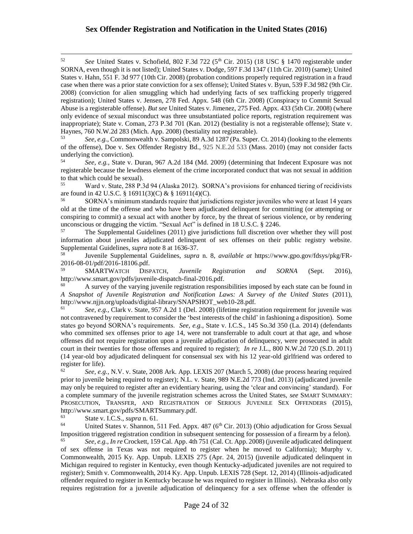<sup>52</sup> *See* United States v. Schofield, 802 F.3d 722 (5th Cir. 2015) (18 USC § 1470 registerable under SORNA, even though it is not listed); United States v. Dodge, 597 F.3d 1347 (11th Cir. 2010) (same); United States v. Hahn, 551 F. 3d 977 (10th Cir. 2008) (probation conditions properly required registration in a fraud case when there was a prior state conviction for a sex offense); United States v. Byun, 539 F.3d 982 (9th Cir. 2008) (conviction for alien smuggling which had underlying facts of sex trafficking properly triggered registration); United States v. Jensen, 278 Fed. Appx. 548 (6th Cir. 2008) (Conspiracy to Commit Sexual Abuse is a registerable offense). *But see* United States v. Jimenez, 275 Fed. Appx. 433 (5th Cir. 2008) (where only evidence of sexual misconduct was three unsubstantiated police reports, registration requirement was inappropriate); State v. Coman, 273 P.3d 701 (Kan. 2012) (bestiality is not a registerable offense); State v. Haynes, 760 N.W.2d 283 (Mich. App. 2008) (bestiality not registerable).

<sup>53</sup> *See*, *e.g.*, Commonwealth v. Sampolski, 89 A.3d 1287 (Pa. Super. Ct. 2014) (looking to the elements of the offense), Doe v. Sex Offender Registry Bd., 925 N.E.2d 533 (Mass. 2010) (may not consider facts underlying the conviction).<br> $54 \text{ S}$ 

<sup>54</sup> *See, e.g.,* State v. Duran, 967 A.2d 184 (Md. 2009) (determining that Indecent Exposure was not registerable because the lewdness element of the crime incorporated conduct that was not sexual in addition to that which could be sexual).

<sup>55</sup> Ward v. State, 288 P.3d 94 (Alaska 2012). SORNA's provisions for enhanced tiering of recidivists are found in 42 U.S.C. § 16911(3)(C) & § 16911(4)(C).

<sup>56</sup> SORNA's minimum standards require that jurisdictions register juveniles who were at least 14 years old at the time of the offense and who have been adjudicated delinquent for committing (or attempting or conspiring to commit) a sexual act with another by force, by the threat of serious violence, or by rendering unconscious or drugging the victim. "Sexual Act" is defined in 18 U.S.C. § 2246.

<sup>57</sup> The Supplemental Guidelines (2011) give jurisdictions full discretion over whether they will post information about juveniles adjudicated delinquent of sex offenses on their public registry website. Supplemental Guidelines, *supra* note 8 at 1636-37.

<sup>58</sup> Juvenile Supplemental Guidelines, *supra* n. 8, *available at* https://www.gpo.gov/fdsys/pkg/FR-2016-08-01/pdf/2016-18106.pdf.<br>59<br>NARTWATCH DISE

<sup>59</sup> SMARTWATCH DISPATCH, *Juvenile Registration and SORNA* (Sept. 2016), http://www.smart.gov/pdfs/juvenile-dispatch-final-2016.pdf.

A survey of the varying juvenile registration responsibilities imposed by each state can be found in *A Snapshot of Juvenile Registration and Notification Laws: A Survey of the United States* (2011), http://www.njjn.org/uploads/digital-library/SNAPSHOT\_web10-28.pdf.

<sup>61</sup> *See, e.g.,* Clark v. State, 957 A.2d 1 (Del. 2008) (lifetime registration requirement for juvenile was not contravened by requirement to consider the 'best interests of the child' in fashioning a disposition). Some states go beyond SORNA's requirements. *See*, *e.g.*, State v. I.C.S., 145 So.3d 350 (La. 2014) (defendants who committed sex offenses prior to age 14, were not transferrable to adult court at that age, and whose offenses did not require registration upon a juvenile adjudication of delinquency, were prosecuted in adult court in their twenties for those offenses and required to register); *In re* J.L., 800 N.W.2d 720 (S.D. 2011) (14 year-old boy adjudicated delinquent for consensual sex with his 12 year-old girlfriend was ordered to register for life).

<sup>62</sup> *See, e.g.,* N.V. v. State, 2008 Ark. App. LEXIS 207 (March 5, 2008) (due process hearing required prior to juvenile being required to register); N.L. v. State, 989 N.E.2d 773 (Ind. 2013) (adjudicated juvenile may only be required to register after an evidentiary hearing, using the 'clear and convincing' standard). For a complete summary of the juvenile registration schemes across the United States, *see* SMART SUMMARY: PROSECUTION, TRANSFER, AND REGISTRATION OF SERIOUS JUVENILE SEX OFFENDERS (2015), http://www.smart.gov/pdfs/SMARTSummary.pdf.<br>
State v. J.C.S. supra p. 61

<sup>63</sup> State v. I.C.S., *supra* n. 61.

 $\overline{a}$ 

<sup>64</sup> United States v. Shannon, 511 Fed. Appx. 487 ( $6<sup>th</sup>$  Cir. 2013) (Ohio adjudication for Gross Sexual Imposition triggered registration condition in subsequent sentencing for possession of a firearm by a felon).<br><sup>65</sup><br>See a.g. In re Creakett, 150 Cal. Ann. 4th 751 (Cal. Ct. Ann. 2008) (invarile edivdicated delinguarity

<sup>65</sup> *See*, *e.g.*, *In re* Crockett, 159 Cal. App. 4th 751 (Cal. Ct. App. 2008) (juvenile adjudicated delinquent of sex offense in Texas was not required to register when he moved to California); Murphy v. Commonwealth, 2015 Ky. App. Unpub. LEXIS 275 (Apr. 24, 2015) (juvenile adjudicated delinquent in Michigan required to register in Kentucky, even though Kentucky-adjudicated juveniles are not required to register); Smith v. Commonwealth, 2014 Ky. App. Unpub. LEXIS 728 (Sept. 12, 2014) (Illinois-adjudicated offender required to register in Kentucky because he was required to register in Illinois). Nebraska also only requires registration for a juvenile adjudication of delinquency for a sex offense when the offender is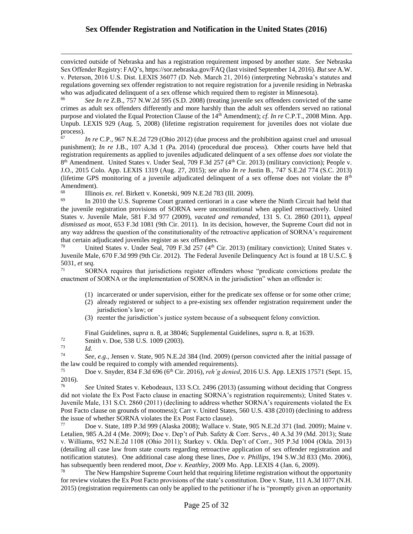convicted outside of Nebraska and has a registration requirement imposed by another state. *See* Nebraska Sex Offender Registry: FAQ's, https://sor.nebraska.gov/FAQ (last visited September 14, 2016). *But see* A.W. v. Peterson, 2016 U.S. Dist. LEXIS 36077 (D. Neb. March 21, 2016) (interpreting Nebraska's statutes and regulations governing sex offender registration to not require registration for a juvenile residing in Nebraska who was adjudicated delinquent of a sex offense which required them to register in Minnesota).<br>  $^{66}$  See In as Z B 357 N W 24.505 (S D 2008) (treating invariance are offenders convicted

<sup>66</sup> *See In re* Z.B., 757 N.W.2d 595 (S.D. 2008) (treating juvenile sex offenders convicted of the same crimes as adult sex offenders differently and more harshly than the adult sex offenders served no rational purpose and violated the Equal Protection Clause of the 14th Amendment); *cf. In re* C.P.T., 2008 Minn. App. Unpub. LEXIS 929 (Aug. 5, 2008) (lifetime registration requirement for juveniles does not violate due process).<br>67

<sup>67</sup> *In re* C.P., 967 N.E.2d 729 (Ohio 2012) (due process and the prohibition against cruel and unusual punishment); *In re* J.B., 107 A.3d 1 (Pa. 2014) (procedural due process). Other courts have held that registration requirements as applied to juveniles adjudicated delinquent of a sex offense *does not* violate the 8<sup>th</sup> Amendment. United States v. Under Seal, 709 F.3d 257 (4<sup>th</sup> Cir. 2013) (military conviction); People v. J.O., 2015 Colo. App. LEXIS 1319 (Aug. 27, 2015); *see also In re* Justin B., 747 S.E.2d 774 (S.C. 2013) (lifetime GPS monitoring of a juvenile adjudicated delinquent of a sex offense does not violate the  $8<sup>th</sup>$ Amendment).

<sup>68</sup> Illinois *ex. rel.* Birkett v. Konetski, 909 N.E.2d 783 (Ill. 2009).<br><sup>69</sup> In 2010 the U.S. Supreme Court granted certiorari in a case w

In 2010 the U.S. Supreme Court granted certiorari in a case where the Ninth Circuit had held that the juvenile registration provisions of SORNA were unconstitutional when applied retroactively. United States v. Juvenile Male, 581 F.3d 977 (2009), *vacated and remanded*, 131 S. Ct. 2860 (2011), *appeal dismissed as moot*, 653 F.3d 1081 (9th Cir. 2011). In its decision, however, the Supreme Court did not in any way address the question of the constitutionality of the retroactive application of SORNA's requirement that certain adjudicated juveniles register as sex offenders.

<sup>70</sup> United States v. Under Seal, 709 F.3d 257 ( $4<sup>th</sup>$  Cir. 2013) (military conviction); United States v. Juvenile Male, 670 F.3d 999 (9th Cir. 2012). The Federal Juvenile Delinquency Act is found at 18 U.S.C. § 5031, *et seq.*

<sup>71</sup> SORNA requires that jurisdictions register offenders whose "predicate convictions predate the enactment of SORNA or the implementation of SORNA in the jurisdiction" when an offender is:

- (1) incarcerated or under supervision, either for the predicate sex offense or for some other crime;
- (2) already registered or subject to a pre-existing sex offender registration requirement under the jurisdiction's law; or
- (3) reenter the jurisdiction's justice system because of a subsequent felony conviction.

Final Guidelines, *supra* n. 8, at 38046; Supplemental Guidelines, *supra* n. 8, at 1639.

 $\frac{72}{73}$  Smith v. Doe, 538 U.S. 1009 (2003).

 $\frac{73}{74}$  *Id.* 

 $\overline{a}$ 

<sup>74</sup> *See, e.g.,* Jensen v. State, 905 N.E.2d 384 (Ind. 2009) (person convicted after the initial passage of the law could be required to comply with amended requirements).<br>
The v Spyder 834 E 3d 696 (6<sup>th</sup> Cir. 2016) reh'g denied

<sup>75</sup> Doe v. Snyder, 834 F.3d 696 (6th Cir. 2016), *reh'g denied*, 2016 U.S. App. LEXIS 17571 (Sept. 15, 2016).

<sup>76</sup> *See* United States v. Kebodeaux, 133 S.Ct. 2496 (2013) (assuming without deciding that Congress did not violate the Ex Post Facto clause in enacting SORNA's registration requirements); United States v. Juvenile Male, 131 S.Ct. 2860 (2011) (declining to address whether SORNA's requirements violated the Ex Post Facto clause on grounds of mootness); Carr v. United States, 560 U.S. 438 (2010) (declining to address the issue of whether SORNA violates the Ex Post Facto clause).

<sup>77</sup> Doe v. State, 189 P.3d 999 (Alaska 2008); Wallace v. State, 905 N.E.2d 371 (Ind. 2009); Maine v. Letalien, 985 A.2d 4 (Me. 2009); Doe v. Dep't of Pub. Safety & Corr. Servs., 40 A.3d 39 (Md. 2013); State v. Williams, 952 N.E.2d 1108 (Ohio 2011); Starkey v. Okla. Dep't of Corr., 305 P.3d 1004 (Okla. 2013) (detailing all case law from state courts regarding retroactive application of sex offender registration and notification statutes). One additional case along these lines, *Doe v. Phillips*, 194 S.W.3d 833 (Mo. 2006), has subsequently been rendered moot, *Doe v. Keathley*, 2009 Mo. App. LEXIS 4 (Jan. 6, 2009).

<sup>78</sup> The New Hampshire Supreme Court held that requiring lifetime registration without the opportunity for review violates the Ex Post Facto provisions of the state's constitution. Doe v. State, 111 A.3d 1077 (N.H. 2015) (registration requirements can only be applied to the petitioner if he is "promptly given an opportunity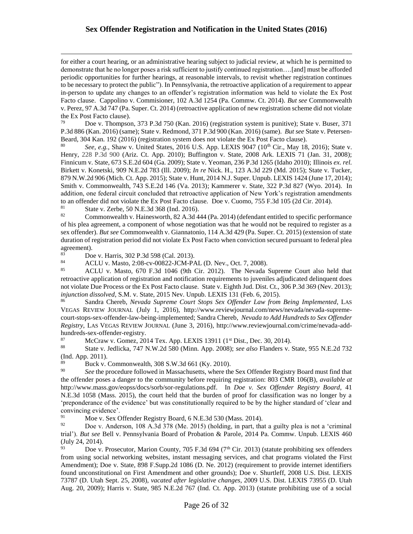for either a court hearing, or an administrative hearing subject to judicial review, at which he is permitted to demonstrate that he no longer poses a risk sufficient to justify continued registration….[and] must be afforded periodic opportunities for further hearings, at reasonable intervals, to revisit whether registration continues to be necessary to protect the public"). In Pennsylvania, the retroactive application of a requirement to appear in-person to update any changes to an offender's registration information was held to violate the Ex Post Facto clause. Cappolino v. Commisioner, 102 A.3d 1254 (Pa. Commw. Ct. 2014). *But see* Commonwealth v. Perez, 97 A.3d 747 (Pa. Super. Ct. 2014) (retroactive application of new registration scheme did not violate the Ex Post Facto clause).

 $79$  Doe v. Thompson, 373 P.3d 750 (Kan. 2016) (registration system is punitive); State v. Buser, 371 P.3d 886 (Kan. 2016) (same); State v. Redmond, 371 P.3d 900 (Kan. 2016) (same). *But see* State v. Petersen-Beard, 304 Kan. 192 (2016) (registration system does not violate the Ex Post Facto clause).

80 *See*, *e.g.*, Shaw v. United States, 2016 U.S. App. LEXIS 9047 (10<sup>th</sup> Cir., May 18, 2016); State v. Henry, 228 P.3d 900 (Ariz. Ct. App. 2010); Buffington v. State, 2008 Ark. LEXIS 71 (Jan. 31, 2008); Finnicum v. State, 673 S.E.2d 604 (Ga. 2009); State v. Yeoman, 236 P.3d 1265 (Idaho 2010); Illinois *ex. rel.* Birkett v. Konetski, 909 N.E.2d 783 (Ill. 2009); *In re* Nick. H., 123 A.3d 229 (Md. 2015); State v. Tucker, 879 N.W.2d 906 (Mich. Ct. App. 2015); State v. Hunt, 2014 N.J. Super. Unpub. LEXIS 1424 (June 17, 2014); Smith v. Commonwealth, 743 S.E.2d 146 (Va. 2013); Kammerer v. State, 322 P.3d 827 (Wyo. 2014). In addition, one federal circuit concluded that retroactive application of New York's registration amendments to an offender did not violate the Ex Post Facto clause. Doe v. Cuomo, 755 F.3d 105 (2d Cir. 2014).<br><sup>81</sup> State v. Zerbe, 50 N E 3d 368 (1pd 2016).

<sup>81</sup> State v. Zerbe, 50 N.E.3d 368 (Ind. 2016).<br><sup>82</sup> Commonwealth v. Hainesworth, 82, A 3d 4.

 $\overline{a}$ 

<sup>82</sup> Commonwealth v. Hainesworth, 82 A.3d 444 (Pa. 2014) (defendant entitled to specific performance of his plea agreement, a component of whose negotiation was that he would not be required to register as a sex offender). *But see* Commonwealth v. Giannatonio, 114 A.3d 429 (Pa. Super. Ct. 2015) (extension of state duration of registration period did not violate Ex Post Facto when conviction secured pursuant to federal plea  $\frac{agreement}{83}$ .

<sup>83</sup> Doe v. Harris, 302 P.3d 598 (Cal. 2013).<br><sup>84</sup> ACLU v. Maste, 2:08 av 00822 JCM P.

84 ACLU v. Masto, 2:08-cv-00822-JCM-PAL (D. Nev., Oct. 7, 2008).<br>85 ACLU v. Masto, 670 E 3d 1046 (9th Cir. 2012). The Nevada 9

<sup>85</sup> ACLU v. Masto, 670 F.3d 1046 (9th Cir. 2012). The Nevada Supreme Court also held that retroactive application of registration and notification requirements to juveniles adjudicated delinquent does not violate Due Process or the Ex Post Facto clause. State v. Eighth Jud. Dist. Ct., 306 P.3d 369 (Nev. 2013); *injunction dissolved*, S.M. v. State, 2015 Nev. Unpub. LEXIS 131 (Feb. 6, 2015).

<sup>86</sup> Sandra Chereb, *Nevada Supreme Court Stops Sex Offender Law from Being Implemented*, LAS VEGAS REVIEW JOURNAL (July 1, 2016), http://www.reviewjournal.com/news/nevada/nevada-supremecourt-stops-sex-offender-law-being-implemented; Sandra Chereb, *Nevada to Add Hundreds to Sex Offender Registry*, LAS VEGAS REVIEW JOURNAL (June 3, 2016), http://www.reviewjournal.com/crime/nevada-addhundreds-sex-offender-registry.

 $\frac{87}{88}$  McCraw v. Gomez, 2014 Tex. App. LEXIS 13911 (1<sup>st</sup> Dist., Dec. 30, 2014).

<sup>88</sup> State v. Jedlicka, 747 N.W.2d 580 (Minn. App. 2008); *see also* Flanders v. State, 955 N.E.2d 732 (Ind. App. 2011).

Buck v. Commonwealth, 308 S.W.3d 661 (Ky. 2010).

90 *See* the procedure followed in Massachusetts, where the Sex Offender Registry Board must find that the offender poses a danger to the community before requiring registration: 803 CMR 106(B), *available at* http://www.mass.gov/eopss/docs/sorb/sor-regulations.pdf. In *Doe v. Sex Offender Registry Board*, 41 N.E.3d 1058 (Mass. 2015), the court held that the burden of proof for classification was no longer by a 'preponderance of the evidence' but was constitutionally required to be by the higher standard of 'clear and convincing evidence'.<br><sup>91</sup> Moo y, Sox C

Moe v. Sex Offender Registry Board, 6 N.E.3d 530 (Mass. 2014).

 $92$  Doe v. Anderson, 108 A.3d 378 (Me. 2015) (holding, in part, that a guilty plea is not a 'criminal trial'). *But see* Bell v. Pennsylvania Board of Probation & Parole, 2014 Pa. Commw. Unpub. LEXIS 460 (July 24, 2014).

Doe v. Prosecutor, Marion County, 705 F.3d 694 ( $7<sup>th</sup>$  Cir. 2013) (statute prohibiting sex offenders from using social networking websites, instant messaging services, and chat programs violated the First Amendment); Doe v. State, 898 F.Supp.2d 1086 (D. Ne. 2012) (requirement to provide internet identifiers found unconstitutional on First Amendment and other grounds); Doe v. Shurtleff, 2008 U.S. Dist. LEXIS 73787 (D. Utah Sept. 25, 2008), *vacated after legislative changes*, 2009 U.S. Dist. LEXIS 73955 (D. Utah Aug. 20, 2009); Harris v. State, 985 N.E.2d 767 (Ind. Ct. App. 2013) (statute prohibiting use of a social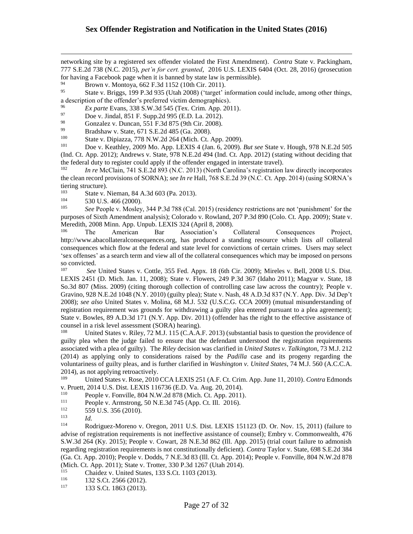networking site by a registered sex offender violated the First Amendment). *Contra* State v. Packingham, 777 S.E.2d 738 (N.C. 2015), *pet'n for cert. granted*, 2016 U.S. LEXIS 6404 (Oct. 28, 2016) (prosecution for having a Facebook page when it is banned by state law is permissible).

 $^{94}$  Brown v. Montoya, 662 F.3d 1152 (10th Cir. 2011).<br>
State v. Briggs, 199 P.3d 935 (Utab. 2008) ('target' i

<sup>95</sup> State v. Briggs, 199 P.3d 935 (Utah 2008) ('target' information could include, among other things, a description of the offender's preferred victim demographics).

<sup>96</sup> *Ex parte* Evans, 338 S.W.3d 545 (Tex. Crim. App. 2011).<br><sup>97</sup> Doe y lindel 851 E Supp. 2d 905 (E.D. L.a. 2012).

 $^{97}$  Doe v. Jindal, 851 F. Supp.2d 995 (E.D. La. 2012).<br><sup>98</sup> Gonzalez v. Duncan, 551 F.3d 875 (9th Cir. 2008).

98 Gonzalez v. Duncan, 551 F.3d 875 (9th Cir. 2008).<br>Prodeboury State 671 S E 2d 485 (Go. 2008).

99 Bradshaw v. State, 671 S.E.2d 485 (Ga. 2008).<br>100 State v. Dinjegge, 778 N.W.2d 264 (Mich. Ct.

<sup>100</sup> State v. Dipiazza, 778 N.W.2d 264 (Mich. Ct. App. 2009).<br><sup>101</sup> Doe v. Keathley, 2009 Mo. App. LEXIS 4 (Jan. 6, 2009).

<sup>101</sup> Doe v. Keathley, 2009 Mo. App. LEXIS 4 (Jan. 6, 2009). *But see* State v. Hough, 978 N.E.2d 505 (Ind. Ct. App. 2012); Andrews v. State, 978 N.E.2d 494 (Ind. Ct. App. 2012) (stating without deciding that the federal duty to register could apply if the offender engaged in interstate travel).

<sup>102</sup> *In re* McClain, 741 S.E.2d 893 (N.C. 2013) (North Carolina's registration law directly incorporates the clean record provisions of SORNA); *see In re* Hall, 768 S.E.2d 39 (N.C. Ct. App. 2014) (using SORNA's tiering structure).<br> $\frac{103}{103}$  State v.

<sup>103</sup> State v. Nieman, 84 A.3d 603 (Pa. 2013).<br><sup>104</sup> 530 U.S. 466 (2000).

 $^{104}$  530 U.S. 466 (2000).<br> $^{105}$  See Beenle v. Mosley

 $\overline{a}$ 

<sup>105</sup> *See* People v. Mosley, 344 P.3d 788 (Cal. 2015) (residency restrictions are not 'punishment' for the purposes of Sixth Amendment analysis); Colorado v. Rowland, 207 P.3d 890 (Colo. Ct. App. 2009); State v. Meredith, 2008 Minn. App. Unpub. LEXIS 324 (April 8, 2008).

<sup>106</sup> The American Bar Association's Collateral Consequences Project, http://www.abacollateralconsequences.org, has produced a standing resource which lists *all* collateral consequences which flow at the federal and state level for convictions of certain crimes. Users may select 'sex offenses' as a search term and view all of the collateral consequences which may be imposed on persons so convicted.

<sup>107</sup> *See* United States v. Cottle, 355 Fed. Appx. 18 (6th Cir. 2009); Mireles v. Bell, 2008 U.S. Dist. LEXIS 2451 (D. Mich. Jan. 11, 2008); State v. Flowers, 249 P.3d 367 (Idaho 2011); Magyar v. State, 18 So.3d 807 (Miss. 2009) (citing thorough collection of controlling case law across the country); People v. Gravino, 928 N.E.2d 1048 (N.Y. 2010) (guilty plea); State v. Nash, 48 A.D.3d 837 (N.Y. App. Div. 3d Dep't 2008); *see also* United States v. Molina, 68 M.J. 532 (U.S.C.G. CCA 2009) (mutual misunderstanding of registration requirement was grounds for withdrawing a guilty plea entered pursuant to a plea agreement); State v. Bowles, 89 A.D.3d 171 (N.Y. App. Div. 2011) (offender has the right to the effective assistance of counsel in a risk level assessment (SORA) hearing).<br> $^{108}$  United States v, Riley 72 M J, 115 (C, A, A)

United States v. Riley, 72 M.J. 115 (C.A.A.F. 2013) (substantial basis to question the providence of guilty plea when the judge failed to ensure that the defendant understood the registration requirements associated with a plea of guilty). The *Riley* decision was clarified in *United States v. Talkington*, 73 M.J. 212 (2014) as applying only to considerations raised by the *Padilla* case and its progeny regarding the voluntariness of guilty pleas, and is further clarified in *Washington v. United States*, 74 M.J. 560 (A.C.C.A.  $2014$ ), as not applying retroactively.<br> $\frac{109}{100}$  Linited States v. Pose, 2010.

<sup>109</sup> United States v. Rose, 2010 CCA LEXIS 251 (A.F. Ct. Crim. App. June 11, 2010). *Contra* Edmonds v. Pruett, 2014 U.S. Dist. LEXIS 116736 (E.D. Va. Aug. 20, 2014).<br><sup>110</sup> People y Fonville, 804 N W 2d 878 (Mich. Ct. App. 2011).

<sup>110</sup> People v. Fonville, 804 N.W.2d 878 (Mich. Ct. App. 2011).<br><sup>111</sup> People v. Armstrong, 50 N.E. 3d 745 (App. Ct. Ill. 2016).

<sup>111</sup> People v. Armstrong, 50 N.E.3d 745 (App. Ct. Ill. 2016).<br><sup>112</sup> 559 U.S. 356 (2010).

 $^{112}$  559 U.S. 356 (2010).

Rodriguez-Moreno v. Oregon, 2011 U.S. Dist. LEXIS 151123 (D. Or. Nov. 15, 2011) (failure to advise of registration requirements is not ineffective assistance of counsel); Embry v. Commonwealth, 476 S.W.3d 264 (Ky. 2015); People v. Cowart, 28 N.E.3d 862 (Ill. App. 2015) (trial court failure to admonish regarding registration requirements is not constitutionally deficient). *Contra* Taylor v. State, 698 S.E.2d 384 (Ga. Ct. App. 2010); People v. Dodds, 7 N.E.3d 83 (Ill. Ct. App. 2014); People v. Fonville, 804 N.W.2d 878 (Mich. Ct. App. 2011); State v. Trotter, 330 P.3d 1267 (Utah 2014).

<sup>115</sup> Chaidez v. United States, 133 S.Ct. 1103 (2013).<br><sup>116</sup> 132 S.Ct. 2566 (2012)

 $^{116}$  132 S.Ct. 2566 (2012).<br>
117 133 S.Ct 1863 (2013)

133 S.Ct. 1863 (2013).

 $\frac{113}{114}$  *Id.*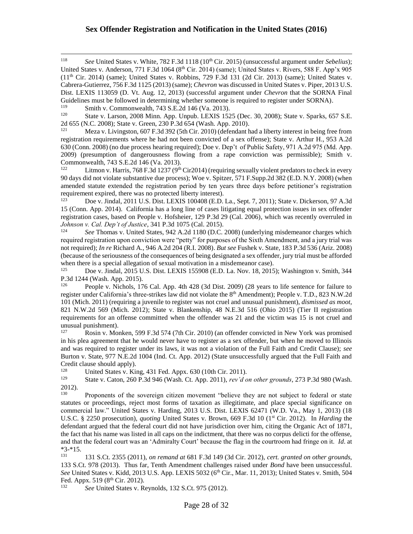<sup>118</sup> *See* United States v. White, 782 F.3d 1118 (10<sup>th</sup> Cir. 2015) (unsuccessful argument under *Sebelius*); United States v. Anderson, 771 F.3d 1064 ( $8<sup>th</sup>$  Cir. 2014) (same); United States v. Rivers, 588 F. App'x 905  $(11<sup>th</sup> Cir. 2014)$  (same); United States v. Robbins, 729 F.3d 131 (2d Cir. 2013) (same); United States v. Cabrera-Gutierrez, 756 F.3d 1125 (2013) (same); *Chevron* was discussed in United States v. Piper, 2013 U.S. Dist. LEXIS 113059 (D. Vt. Aug. 12, 2013) (successful argument under *Chevron* that the SORNA Final Guidelines must be followed in determining whether someone is required to register under SORNA).<br> $^{119}$  Smith v. Commonwealth, 742 S E 24.146 (No. 2013).

<sup>119</sup> Smith v. Commonwealth, 743 S.E.2d 146 (Va. 2013).<br><sup>120</sup> State v. Larson, 2008 Minn, App. Unpub. LEXIS 153

 $\overline{a}$ 

State v. Larson, 2008 Minn. App. Unpub. LEXIS 1525 (Dec. 30, 2008); State v. Sparks, 657 S.E. 2d 655 (N.C. 2008); State v. Green, 230 P.3d 654 (Wash. App. 2010).<br><sup>121</sup> Meza v. Livingston, 607 F.3d 392 (5th Cir. 2010) (defendant h

Meza v. Livingston, 607 F.3d 392 (5th Cir. 2010) (defendant had a liberty interest in being free from registration requirements where he had not been convicted of a sex offense); State v. Arthur H., 953 A.2d 630 (Conn. 2008) (no due process hearing required); Doe v. Dep't of Public Safety, 971 A.2d 975 (Md. App. 2009) (presumption of dangerousness flowing from a rape conviction was permissible); Smith v. Commonwealth, 743 S.E.2d 146 (Va. 2013).

122 Litmon v. Harris, 768 F.3d 1237 ( $9<sup>th</sup> Cir2014$ ) (requiring sexually violent predators to check in every 90 days did not violate substantive due process); Woe v. Spitzer, 571 F.Supp.2d 382 (E.D. N.Y. 2008) (when amended statute extended the registration period by ten years three days before petitioner's registration requirement expired, there was no protected liberty interest).

123 Doe v. Jindal, 2011 U.S. Dist. LEXIS 100408 (E.D. La., Sept. 7, 2011); State v. Dickerson, 97 A.3d 15 (Conn. App. 2014). California has a long line of cases litigating equal protection issues in sex offender registration cases, based on People v. Hofsheier, 129 P.3d 29 (Cal. 2006), which was recently overruled in *Johnson v. Cal. Dep't of Justice*, 341 P.3d 1075 (Cal. 2015).

<sup>124</sup> *See* Thomas v. United States, 942 A.2d 1180 (D.C. 2008) (underlying misdemeanor charges which required registration upon conviction were "petty" for purposes of the Sixth Amendment, and a jury trial was not required); *In re* Richard A., 946 A.2d 204 (R.I. 2008). *But see* Fushek v. State, 183 P.3d 536 (Ariz. 2008) (because of the seriousness of the consequences of being designated a sex offender, jury trial must be afforded when there is a special allegation of sexual motivation in a misdemeanor case).

<sup>125</sup> Doe v. Jindal, 2015 U.S. Dist. LEXIS 155908 (E.D. La. Nov. 18, 2015); Washington v. Smith, 344 P.3d 1244 (Wash. App. 2015).

<sup>126</sup> People v. Nichols, 176 Cal. App. 4th 428 (3d Dist. 2009) (28 years to life sentence for failure to register under California's three-strikes law did not violate the 8<sup>th</sup> Amendment); People v. T.D., 823 N.W.2d 101 (Mich. 2011) (requiring a juvenile to register was not cruel and unusual punishment), *dismissed as moot,*  821 N.W.2d 569 (Mich. 2012); State v. Blankenship, 48 N.E.3d 516 (Ohio 2015) (Tier II registration requirements for an offense committed when the offender was 21 and the victim was 15 is not cruel and unusual punishment).<br> $\frac{127}{RQ}$ 

Rosin v. Monken, 599 F.3d 574 (7th Cir. 2010) (an offender convicted in New York was promised in his plea agreement that he would never have to register as a sex offender, but when he moved to Illinois and was required to register under its laws, it was not a violation of the Full Faith and Credit Clause); *see*  Burton v. State, 977 N.E.2d 1004 (Ind. Ct. App. 2012) (State unsuccessfully argued that the Full Faith and Credit clause should apply).<br><sup>128</sup> United States v. Kit

<sup>128</sup> United States v. King, 431 Fed. Appx. 630 (10th Cir. 2011).<br><sup>129</sup> State v. Caton, 260 B 3d 946 (Wash, Ct. App. 2011). ray'd a

<sup>129</sup> State v. Caton, 260 P.3d 946 (Wash. Ct. App. 2011), *rev'd on other grounds*, 273 P.3d 980 (Wash.  $2012$ ).

Proponents of the sovereign citizen movement "believe they are not subject to federal or state statutes or proceedings, reject most forms of taxation as illegitimate, and place special significance on commercial law." United States v. Harding, 2013 U.S. Dist. LEXIS 62471 (W.D. Va., May 1, 2013) (18 U.S.C. § 2250 prosecution), *quoting* United States v. Brown, 669 F.3d 10 (1<sup>st</sup> Cir. 2012). In *Harding* the defendant argued that the federal court did not have jurisdiction over him, citing the Organic Act of 1871, the fact that his name was listed in all caps on the indictment, that there was no corpus delicti for the offense, and that the federal court was an 'Admiralty Court' because the flag in the courtroom had fringe on it. *Id*. at  $*3-*15.$ 

<sup>131</sup> 131 S.Ct. 2355 (2011), *on remand at* 681 F.3d 149 (3d Cir. 2012), *cert. granted on other grounds,*  133 S.Ct. 978 (2013). Thus far, Tenth Amendment challenges raised under *Bond* have been unsuccessful. See United States v. Kidd, 2013 U.S. App. LEXIS 5032 (6<sup>th</sup> Cir., Mar. 11, 2013); United States v. Smith, 504 Fed. Appx. 519 ( $8<sup>th</sup>$  Cir. 2012).<br>  $\frac{132}{8e}$  United States v Re

<sup>132</sup> *See* United States v. Reynolds, 132 S.Ct. 975 (2012).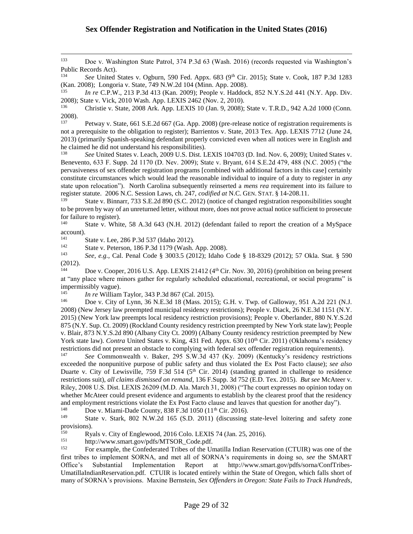<sup>133</sup> Doe v. Washington State Patrol, 374 P.3d 63 (Wash. 2016) (records requested via Washington's Public Records Act).

<sup>134</sup> *See* United States v. Ogburn, 590 Fed. Appx. 683 (9th Cir. 2015); State v. Cook, 187 P.3d 1283 (Kan. 2008); Longoria v. State, 749 N.W.2d 104 (Minn. App. 2008).

<sup>135</sup> *In re* C.P.W., 213 P.3d 413 (Kan. 2009); People v. Haddock, 852 N.Y.S.2d 441 (N.Y. App. Div. 2008); State v. Vick, 2010 Wash. App. LEXIS 2462 (Nov. 2, 2010).

<sup>136</sup> Christie v. State, 2008 Ark. App. LEXIS 10 (Jan. 9, 2008); State v. T.R.D., 942 A.2d 1000 (Conn. 2008).<br>137

<sup>137</sup> Petway v. State, 661 S.E.2d 667 (Ga. App. 2008) (pre-release notice of registration requirements is not a prerequisite to the obligation to register); Barrientos v. State, 2013 Tex. App. LEXIS 7712 (June 24, 2013) (primarily Spanish-speaking defendant properly convicted even when all notices were in English and he claimed he did not understand his responsibilities).<br><sup>138</sup> See United States y Leach 2009 U.S. Dist. I.

<sup>138</sup> *See* United States v. Leach, 2009 U.S. Dist. LEXIS 104703 (D. Ind. Nov. 6, 2009); United States v. Benevento, 633 F. Supp. 2d 1170 (D. Nev. 2009); State v. Bryant, 614 S.E.2d 479, 488 (N.C. 2005) ("the pervasiveness of sex offender registration programs [combined with additional factors in this case] certainly constitute circumstances which would lead the reasonable individual to inquire of a duty to register in *any* state upon relocation"). North Carolina subsequently reinserted a *mens rea* requirement into its failure to register statute. 2006 N.C. Session Laws, ch. 247, *codified at* N.C. GEN. STAT. § 14-208.11.

State v. Binnarr, 733 S.E.2d 890 (S.C. 2012) (notice of changed registration responsibilities sought to be proven by way of an unreturned letter, without more, does not prove actual notice sufficient to prosecute for failure to register).

<sup>140</sup> State v. White, 58 A.3d 643 (N.H. 2012) (defendant failed to report the creation of a MySpace account).<br>141

<sup>141</sup> State v. Lee, 286 P.3d 537 (Idaho 2012).<br><sup>142</sup> State v. Peterson, 186 P.3d 1170 (Wash

 $\overline{a}$ 

<sup>142</sup> State v. Peterson, 186 P.3d 1179 (Wash. App. 2008).<br><sup>143</sup> See e.g. Cal. Penal Code 8, 3003.5 (2012): Idabo G

<sup>143</sup> *See, e.g.,* Cal. Penal Code § 3003.5 (2012); Idaho Code § 18-8329 (2012); 57 Okla. Stat. § 590  $(2012).$ 

Doe v. Cooper, 2016 U.S. App. LEXIS 21412 (4<sup>th</sup> Cir. Nov. 30, 2016) (prohibition on being present at "any place where minors gather for regularly scheduled educational, recreational, or social programs" is impermissibly vague).

<sup>145</sup> *In re* William Taylor, 343 P.3d 867 (Cal. 2015).

Doe v. City of Lynn, 36 N.E.3d 18 (Mass. 2015); G.H. v. Twp. of Galloway, 951 A.2d 221 (N.J. 2008) (New Jersey law preempted municipal residency restrictions); People v. Diack, 26 N.E.3d 1151 (N.Y. 2015) (New York law preempts local residency restriction provisions); People v. Oberlander, 880 N.Y.S.2d 875 (N.Y. Sup. Ct. 2009) (Rockland County residency restriction preempted by New York state law); People v. Blair, 873 N.Y.S.2d 890 (Albany City Ct. 2009) (Albany County residency restriction preempted by New York state law). *Contra* United States v. King, 431 Fed. Appx. 630 (10<sup>th</sup> Cir. 2011) (Oklahoma's residency restrictions did not present an obstacle to complying with federal sex offender registration requirements).<br><sup>147</sup> See Commonwealth v. Pelser, 205 S.W.24, 427 (Ky. 2000) (Kantualiy's registerationistic

<sup>147</sup> *See* Commonwealth v. Baker, 295 S.W.3d 437 (Ky. 2009) (Kentucky's residency restrictions exceeded the nonpunitive purpose of public safety and thus violated the Ex Post Facto clause); *see also* Duarte v. City of Lewisville, 759 F.3d 514 (5<sup>th</sup> Cir. 2014) (standing granted in challenge to residence restrictions suit), *all claims dismissed on remand*, 136 F.Supp. 3d 752 (E.D. Tex. 2015). *But see* McAteer v. Riley, 2008 U.S. Dist. LEXIS 26209 (M.D. Ala. March 31, 2008) ("The court expresses no opinion today on whether McAteer could present evidence and arguments to establish by the clearest proof that the residency and employment restrictions violate the Ex Post Facto clause and leaves that question for another day").<br><sup>148</sup> Doe y Miami-Dade County 838 F 3d 1050 (11<sup>th</sup> Cir. 2016)

<sup>148</sup> Doe v. Miami-Dade County, 838 F.3d 1050 (11<sup>th</sup> Cir. 2016).<br><sup>149</sup> State v. Stark 802 N.W. 2d 165 (S.D. 2011) (discussing

State v. Stark, 802 N.W.2d 165 (S.D. 2011) (discussing state-level loitering and safety zone provisions).<br> $R_{\rm W}$ 

<sup>150</sup> Ryals v. City of Englewood, 2016 Colo. LEXIS 74 (Jan. 25, 2016).<br>
http://www.smart.gov/pdfs/MTSOP. Code.pdf.

 $151$  http://www.smart.gov/pdfs/MTSOR\_Code.pdf.<br> $152$  Eq. example, the Confederated Tribes of the Un

<sup>152</sup> For example, the Confederated Tribes of the Umatilla Indian Reservation (CTUIR) was one of the first tribes to implement SORNA, and met all of SORNA's requirements in doing so, *see* the SMART Office's Substantial Implementation Report at http://www.smart.gov/pdfs/sorna/ConfTribes-UmatillaIndianReservation.pdf*.* CTUIR is located entirely within the State of Oregon, which falls short of many of SORNA's provisions. Maxine Bernstein, *Sex Offenders in Oregon: State Fails to Track Hundreds*,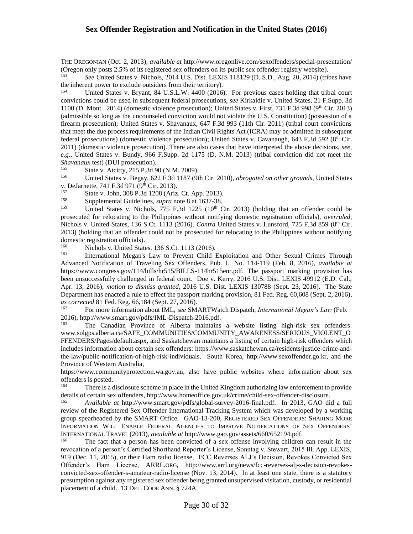THE OREGONIAN (Oct. 2, 2013), *available at* http://www.oregonlive.com/sexoffenders/special-presentation/ (Oregon only posts 2.5% of its registered sex offenders on its public sex offender registry website).

<sup>153</sup> *See* United States v. Nichols, 2014 U.S. Dist. LEXIS 118129 (D. S.D., Aug. 20, 2014) (tribes have the inherent power to exclude outsiders from their territory).

<sup>154</sup> United States v. Bryant, 84 U.S.L.W. 4400 (2016). For previous cases holding that tribal court convictions could be used in subsequent federal prosecutions, *see* Kirkaldie v. United States, 21 F.Supp. 3d 1100 (D. Mont. 2014) (domestic violence prosecution); United States v. First, 731 F.3d 998 (9<sup>th</sup> Cir. 2013) (admissible so long as the uncounseled conviction would not violate the U.S. Constitution) (possession of a firearm prosecution); United States v. Shavanaux, 647 F.3d 993 (11th Cir. 2011) (tribal court convictions that meet the due process requirements of the Indian Civil Rights Act (ICRA) may be admitted in subsequent federal prosecutions) (domestic violence prosecution); United States v. Cavanaugh, 643 F.3d 592 (8<sup>th</sup> Cir. 2011) (domestic violence prosecution). There are also cases that have interpreted the above decisions, *see, e.g.,* United States v. Bundy, 966 F.Supp. 2d 1175 (D. N.M. 2013) (tribal conviction did not meet the *Shavanaux* test) (DUI prosecution).

<sup>155</sup> State v. Atcitty, 215 P.3d 90 (N.M. 2009).<br><sup>156</sup> Inited States v. Begav, 622 E.3d 1187 (0th

 $\overline{a}$ 

<sup>156</sup> United States v. Begay, 622 F.3d 1187 (9th Cir. 2010), *abrogated on other grounds*, United States v. DeJarnette, 741 F.3d 971 (9<sup>th</sup> Cir. 2013).

<sup>157</sup> State v. John, 308 P.3d 1208 (Ariz. Ct. App. 2013).<br><sup>158</sup> Supplemental Guidelines, supra pote 8 at 1637.38

<sup>158</sup> Supplemental Guidelines, *supra* note 8 at 1637-38.

United States v. Nichols, 775 F.3d 1225 (10<sup>th</sup> Cir. 2013) (holding that an offender could be prosecuted for relocating to the Philippines without notifying domestic registration officials), *overruled*, Nichols v. United States, 136 S.Ct. 1113 (2016). *Contra* United States v. Lunsford, 725 F.3d 859 (8th Cir. 2013) (holding that an offender could not be prosecuted for relocating to the Philippines without notifying domestic registration officials).<br><sup>160</sup> Nichola v United State

<sup>160</sup> Nichols v. United States, 136 S.Ct. 1113 (2016).<br><sup>161</sup> International Megan's Law to Provent Child I

<sup>161</sup> International Megan's Law to Prevent Child Exploitation and Other Sexual Crimes Through Advanced Notification of Traveling Sex Offenders*,* Pub. L. No. 114-119 (Feb. 8, 2016), *available at*  https://www.congress.gov/114/bills/hr515/BILLS-114hr515enr.pdf*.* The passport marking provision has been unsuccessfully challenged in federal court. Doe v. Kerry, 2016 U.S. Dist. LEXIS 49912 (E.D. Cal., Apr. 13, 2016), *motion to dismiss granted*, 2016 U.S. Dist. LEXIS 130788 (Sept. 23, 2016). The State Department has enacted a rule to effect the passport marking provision, 81 Fed. Reg. 60,608 (Sept. 2, 2016), *as corrected* 81 Fed. Reg. 66,184 (Sept. 27, 2016).<br><sup>162</sup> For more information about IMI *see* SM.

<sup>162</sup> For more information about IML, *see* SMARTWatch Dispatch, *International Megan's Law* (Feb. 2016), http://www.smart.gov/pdfs/IML-Dispatch-2016.pdf.

<sup>163</sup> The Canadian Province of Alberta maintains a website listing high-risk sex offenders: www.solgps.alberta.ca/SAFE\_COMMUNITIES/COMMUNITY\_AWARENESS/SERIOUS\_VIOLENT\_O FFENDERS/Pages/default.aspx, and Saskatchewan maintains a listing of certain high-risk offenders which includes information about certain sex offenders: https://www.saskatchewan.ca/residents/justice-crime-andthe-law/public-notification-of-high-risk-individuals. South Korea, http://www.sexoffender.go.kr, and the Province of Western Australia,

https://www.communityprotection.wa.gov.au, also have public websites where information about sex offenders is posted.

<sup>164</sup> There is a disclosure scheme in place in the United Kingdom authorizing law enforcement to provide details of certain sex offenders, http://www.homeoffice.gov.uk/crime/child-sex-offender-disclosure.

<sup>165</sup> *Available at* http://www.smart.gov/pdfs/global-survey-2016-final.pdf. In 2013, GAO did a full review of the Registered Sex Offender International Tracking System which was developed by a working group spearheaded by the SMART Office. GAO-13-200, REGISTERED SEX OFFENDERS: SHARING MORE INFORMATION WILL ENABLE FEDERAL AGENCIES TO IMPROVE NOTIFICATIONS OF SEX OFFENDERS' INTERNATIONAL TRAVEL (2013), *available at* http://www.gao.gov/assets/660/652194.pdf.

The fact that a person has been convicted of a sex offense involving children can result in the revocation of a person's Certified Shorthand Reporter's License, Sonntag v. Stewart, 2015 Ill. App. LEXIS, 919 (Dec. 11, 2015), or their Ham radio license, FCC Reverses ALJ's Decision, Revokes Convicted Sex Offender's Ham License, ARRL.ORG, http://www.arrl.org/news/fcc-reverses-alj-s-decision-revokesconvicted-sex-offender-s-amateur-radio-license (Nov. 13, 2014). In at least one state, there is a statutory presumption against any registered sex offender being granted unsupervised visitation, custody, or residential placement of a child. 13 DEL. CODE ANN. § 724A.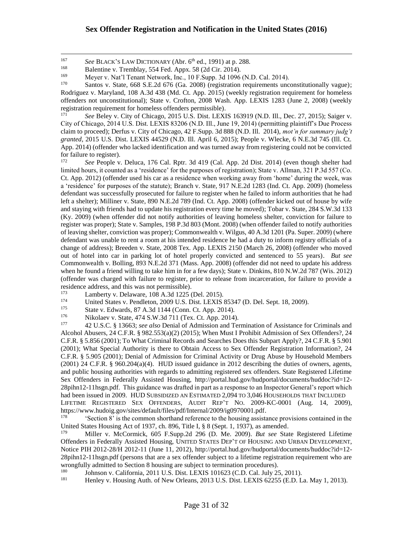$\overline{a}$ 

Santos v. State, 668 S.E.2d 676 (Ga. 2008) (registration requirements unconstitutionally vague); Rodriguez v. Maryland, 108 A.3d 438 (Md. Ct. App. 2015) (weekly registration requirement for homeless offenders not unconstitutional); State v. Crofton, 2008 Wash. App. LEXIS 1283 (June 2, 2008) (weekly registration requirement for homeless offenders permissible).<br><sup>171</sup> See Belay v. City of Chieses, 2015 U.S. Dist. U.S.VI

<sup>171</sup> *See* Beley v. City of Chicago, 2015 U.S. Dist. LEXIS 163919 (N.D. Ill., Dec. 27, 2015); Saiger v. City of Chicago, 2014 U.S. Dist. LEXIS 83206 (N.D. Ill., June 19, 2014) (permitting plaintiff's Due Process claim to proceed); Derfus v. City of Chicago, 42 F.Supp. 3d 888 (N.D. Ill. 2014), *mot'n for summary judg't granted*, 2015 U.S. Dist. LEXIS 44529 (N.D. Ill. April 6, 2015); People v. Wlecke, 6 N.E.3d 745 (Ill. Ct. App. 2014) (offender who lacked identification and was turned away from registering could not be convicted for failure to register).<br> $\frac{172}{2}$  See People V.

<sup>172</sup> *See* People v. Deluca, 176 Cal. Rptr. 3d 419 (Cal. App. 2d Dist. 2014) (even though shelter had limited hours, it counted as a 'residence' for the purposes of registration); State v. Allman, 321 P.3d 557 (Co. Ct. App. 2012) (offender used his car as a residence when working away from 'home' during the week, was a 'residence' for purposes of the statute); Branch v. State, 917 N.E.2d 1283 (Ind. Ct. App. 2009) (homeless defendant was successfully prosecuted for failure to register when he failed to inform authorities that he had left a shelter); Milliner v. State, 890 N.E.2d 789 (Ind. Ct. App. 2008) (offender kicked out of house by wife and staying with friends had to update his registration every time he moved); Tobar v. State, 284 S.W.3d 133 (Ky. 2009) (when offender did not notify authorities of leaving homeless shelter, conviction for failure to register was proper); State v. Samples, 198 P.3d 803 (Mont. 2008) (when offender failed to notify authorities of leaving shelter, conviction was proper); Commonwealth v. Wilgus, 40 A.3d 1201 (Pa. Super. 2009) (where defendant was unable to rent a room at his intended residence he had a duty to inform registry officials of a change of address); Breeden v. State, 2008 Tex. App. LEXIS 2150 (March 26, 2008) (offender who moved out of hotel into car in parking lot of hotel properly convicted and sentenced to 55 years). *But see* Commonwealth v. Bolling, 893 N.E.2d 371 (Mass. App. 2008) (offender did not need to update his address when he found a friend willing to take him in for a few days); State v. Dinkins, 810 N.W.2d 787 (Wis. 2012) (offender was charged with failure to register, prior to release from incarceration, for failure to provide a residence address, and this was not permissible).

- $173$  Lamberty v. Delaware, 108 A.3d 1225 (Del. 2015).<br> $174$  Linited States v. Pendleton, 2009 U.S. Dist. LEXIS
- 174 United States v. Pendleton, 2009 U.S. Dist. LEXIS 85347 (D. Del. Sept. 18, 2009).<br>175 State v. Edwards 87, A 3d 1144 (Conn. Ct. App. 2014).
- 175 State v. Edwards, 87 A.3d 1144 (Conn. Ct. App. 2014).<br>176 Nikolaan v. State 474 S.W 24.711 (Tax. Ct. App. 2014).
- <sup>176</sup> Nikolaev v. State, 474 S.W.3d 711 (Tex. Ct. App. 2014).<br><sup>177</sup>  $\overline{42 \text{ II S C 8 13663} \cdot \text{see also Denial of Admission and Te}}$

<sup>177</sup> 42 U.S.C. § 13663; *see also* Denial of Admission and Termination of Assistance for Criminals and Alcohol Abusers, 24 C.F.R. § 982.553(a)(2) (2015); When Must I Prohibit Admission of Sex Offenders?, 24 C.F.R. § 5.856 (2001); To What Criminal Records and Searches Does this Subpart Apply?, 24 C.F.R. § 5.901 (2001); What Special Authority is there to Obtain Access to Sex Offender Registration Information?, 24 C.F.R. § 5.905 (2001); Denial of Admission for Criminal Activity or Drug Abuse by Household Members (2001) 24 C.F.R. § 960.204(a)(4). HUD issued guidance in 2012 describing the duties of owners, agents, and public housing authorities with regards to admitting registered sex offenders. State Registered Lifetime Sex Offenders in Federally Assisted Housing, http://portal.hud.gov/hudportal/documents/huddoc?id=12- 28pihn12-11hsgn.pdf. This guidance was drafted in part as a response to an Inspector General's report which had been issued in 2009. HUD SUBSIDIZED AN ESTIMATED 2,094 TO 3,046 HOUSEHOLDS THAT INCLUDED LIFETIME REGISTERED SEX OFFENDERS, AUDIT REP'T NO. 2009-KC-0001 (Aug. 14, 2009), https://www.hudoig.gov/sites/default/files/pdf/Internal/2009/ig0970001.pdf.<br><sup>178</sup> Section 8' is the common shorthand reference to the housing assisted

<sup>178</sup> 'Section 8' is the common shorthand reference to the housing assistance provisions contained in the United States Housing Act of 1937, ch. 896, Title I, § 8 (Sept. 1, 1937), as amended.

<sup>179</sup> Miller v. McCormick, 605 F.Supp.2d 296 (D. Me. 2009). *But see* State Registered Lifetime Offenders in Federally Assisted Housing, UNITED STATES DEP'T OF HOUSING AND URBAN DEVELOPMENT, Notice PIH 2012-28/H 2012-11 (June 11, 2012), http://portal.hud.gov/hudportal/documents/huddoc?id=12- 28pihn12-11hsgn.pdf (persons that are a sex offender subject to a lifetime registration requirement who are wrongfully admitted to Section 8 housing are subject to termination procedures).<br><sup>180</sup> Iohnson y California 2011 U.S. Dist. LEXIS 101623 (C.D. Cal. July 25)

<sup>180</sup> Johnson v. California, 2011 U.S. Dist. LEXIS 101623 (C.D. Cal. July 25, 2011).<br><sup>181</sup> Henley v. Housing Auth of New Orleans, 2013 U.S. Dist. LEXIS 62255 (E.D. I.

<sup>181</sup> Henley v. Housing Auth. of New Orleans, 2013 U.S. Dist. LEXIS 62255 (E.D. La. May 1, 2013).

<sup>&</sup>lt;sup>167</sup> *See BLACK's LAW DICTIONARY (Abr. 6<sup>th</sup> ed., 1991) at p. 288.*<br> **Balentine v. Tremblay, 554 Eed. Apry 58 (2d Cir. 2014)** 

<sup>&</sup>lt;sup>168</sup> Balentine v. Tremblay, 554 Fed. Appx. 58 (2d Cir. 2014).<br><sup>169</sup> Meyer v. Nat'l Tenant Network, Inc. 10 F. Supp. 2d 1096.

<sup>&</sup>lt;sup>169</sup> Meyer v. Nat'l Tenant Network, Inc., 10 F.Supp. 3d 1096 (N.D. Cal. 2014).<br><sup>170</sup> Santos v. State, 668 S.E. 2d 676 (Ga. 2008) (registration requirements unce